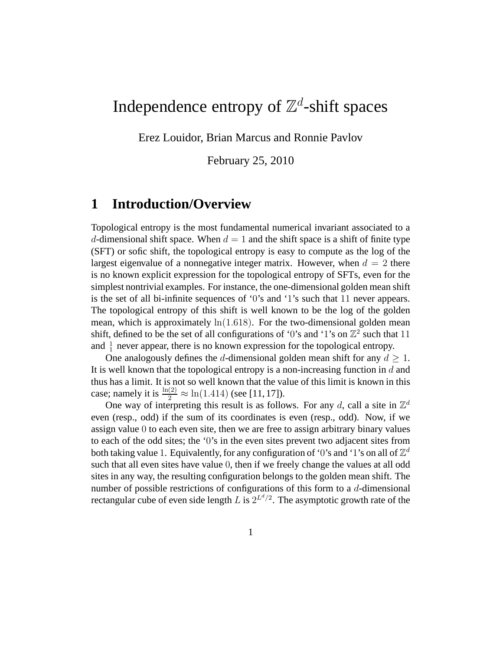# Independence entropy of  $\mathbb{Z}^d$ -shift spaces

Erez Louidor, Brian Marcus and Ronnie Pavlov

February 25, 2010

# **1 Introduction/Overview**

Topological entropy is the most fundamental numerical invariant associated to a d-dimensional shift space. When  $d = 1$  and the shift space is a shift of finite type (SFT) or sofic shift, the topological entropy is easy to compute as the log of the largest eigenvalue of a nonnegative integer matrix. However, when  $d = 2$  there is no known explicit expression for the topological entropy of SFTs, even for the simplest nontrivial examples. For instance, the one-dimensional golden mean shift is the set of all bi-infinite sequences of '0's and '1's such that 11 never appears. The topological entropy of this shift is well known to be the log of the golden mean, which is approximately  $\ln(1.618)$ . For the two-dimensional golden mean shift, defined to be the set of all configurations of '0's and '1's on  $\mathbb{Z}^2$  such that 11 and  $\frac{1}{1}$  never appear, there is no known expression for the topological entropy.

One analogously defines the d-dimensional golden mean shift for any  $d \geq 1$ . It is well known that the topological entropy is a non-increasing function in  $d$  and thus has a limit. It is not so well known that the value of this limit is known in this case; namely it is  $\frac{\ln(2)}{2} \approx \ln(1.414)$  (see [11, 17]).

One way of interpreting this result is as follows. For any d, call a site in  $\mathbb{Z}^d$ even (resp., odd) if the sum of its coordinates is even (resp., odd). Now, if we assign value 0 to each even site, then we are free to assign arbitrary binary values to each of the odd sites; the '0's in the even sites prevent two adjacent sites from both taking value 1. Equivalently, for any configuration of '0's and '1's on all of  $\mathbb{Z}^d$ such that all even sites have value 0, then if we freely change the values at all odd sites in any way, the resulting configuration belongs to the golden mean shift. The number of possible restrictions of configurations of this form to a d-dimensional rectangular cube of even side length L is  $2^{L^d/2}$ . The asymptotic growth rate of the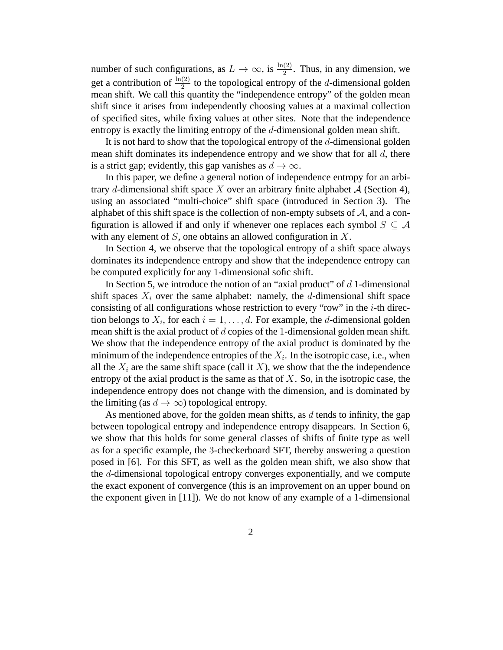number of such configurations, as  $L \to \infty$ , is  $\frac{\ln(2)}{2}$ . Thus, in any dimension, we get a contribution of  $\frac{\ln(2)}{2}$  to the topological entropy of the *d*-dimensional golden mean shift. We call this quantity the "independence entropy" of the golden mean shift since it arises from independently choosing values at a maximal collection of specified sites, while fixing values at other sites. Note that the independence entropy is exactly the limiting entropy of the d-dimensional golden mean shift.

It is not hard to show that the topological entropy of the d-dimensional golden mean shift dominates its independence entropy and we show that for all  $d$ , there is a strict gap; evidently, this gap vanishes as  $d \to \infty$ .

In this paper, we define a general notion of independence entropy for an arbitrary d-dimensional shift space X over an arbitrary finite alphabet  $A$  (Section 4), using an associated "multi-choice" shift space (introduced in Section 3). The alphabet of this shift space is the collection of non-empty subsets of  $A$ , and a configuration is allowed if and only if whenever one replaces each symbol  $S \subseteq A$ with any element of  $S$ , one obtains an allowed configuration in  $X$ .

In Section 4, we observe that the topological entropy of a shift space always dominates its independence entropy and show that the independence entropy can be computed explicitly for any 1-dimensional sofic shift.

In Section 5, we introduce the notion of an "axial product" of  $d$  1-dimensional shift spaces  $X_i$  over the same alphabet: namely, the d-dimensional shift space consisting of all configurations whose restriction to every "row" in the  $i$ -th direction belongs to  $X_i$ , for each  $i = 1, \ldots, d$ . For example, the *d*-dimensional golden mean shift is the axial product of d copies of the 1-dimensional golden mean shift. We show that the independence entropy of the axial product is dominated by the minimum of the independence entropies of the  $X_i$ . In the isotropic case, i.e., when all the  $X_i$  are the same shift space (call it X), we show that the the independence entropy of the axial product is the same as that of  $X$ . So, in the isotropic case, the independence entropy does not change with the dimension, and is dominated by the limiting (as  $d \to \infty$ ) topological entropy.

As mentioned above, for the golden mean shifts, as d tends to infinity, the gap between topological entropy and independence entropy disappears. In Section 6, we show that this holds for some general classes of shifts of finite type as well as for a specific example, the 3-checkerboard SFT, thereby answering a question posed in [6]. For this SFT, as well as the golden mean shift, we also show that the d-dimensional topological entropy converges exponentially, and we compute the exact exponent of convergence (this is an improvement on an upper bound on the exponent given in [11]). We do not know of any example of a 1-dimensional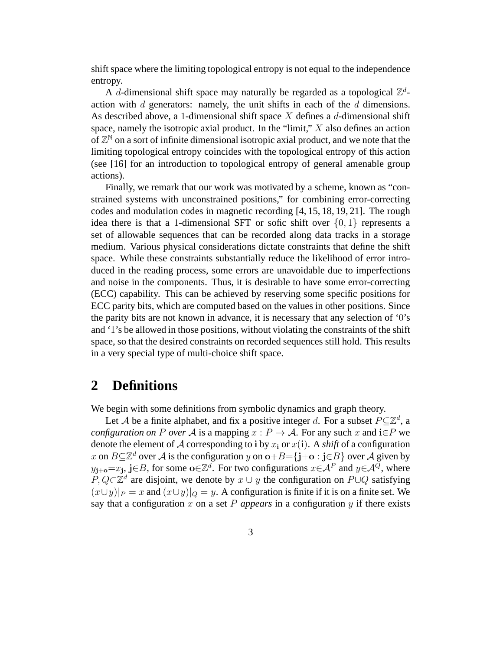shift space where the limiting topological entropy is not equal to the independence entropy.

A d-dimensional shift space may naturally be regarded as a topological  $\mathbb{Z}^d$ action with  $d$  generators: namely, the unit shifts in each of the  $d$  dimensions. As described above, a 1-dimensional shift space  $X$  defines a  $d$ -dimensional shift space, namely the isotropic axial product. In the "limit," X also defines an action of  $\mathbb{Z}^{\mathbb{N}}$  on a sort of infinite dimensional isotropic axial product, and we note that the limiting topological entropy coincides with the topological entropy of this action (see [16] for an introduction to topological entropy of general amenable group actions).

Finally, we remark that our work was motivated by a scheme, known as "constrained systems with unconstrained positions," for combining error-correcting codes and modulation codes in magnetic recording [4, 15, 18, 19, 21]. The rough idea there is that a 1-dimensional SFT or sofic shift over  $\{0, 1\}$  represents a set of allowable sequences that can be recorded along data tracks in a storage medium. Various physical considerations dictate constraints that define the shift space. While these constraints substantially reduce the likelihood of error introduced in the reading process, some errors are unavoidable due to imperfections and noise in the components. Thus, it is desirable to have some error-correcting (ECC) capability. This can be achieved by reserving some specific positions for ECC parity bits, which are computed based on the values in other positions. Since the parity bits are not known in advance, it is necessary that any selection of '0's and '1's be allowed in those positions, without violating the constraints of the shift space, so that the desired constraints on recorded sequences still hold. This results in a very special type of multi-choice shift space.

## **2 Definitions**

We begin with some definitions from symbolic dynamics and graph theory.

Let A be a finite alphabet, and fix a positive integer d. For a subset  $P \subseteq \mathbb{Z}^d$ , a *configuration on* P *over* A is a mapping  $x : P \to A$ . For any such x and  $i \in P$  we denote the element of A corresponding to **i** by  $x_i$  or  $x(i)$ . A *shift* of a configuration x on  $B \subseteq \mathbb{Z}^d$  over A is the configuration y on  $o+B=\{j+o : j\in B\}$  over A given by  $y_{j+o} = x_j$ , j∈B, for some o∈ $\mathbb{Z}^d$ . For two configurations  $x \in A^P$  and  $y \in A^Q$ , where  $P, Q \subset \mathbb{Z}^d$  are disjoint, we denote by  $x \cup y$  the configuration on  $P \cup Q$  satisfying  $(x\cup y)|_P = x$  and  $(x\cup y)|_Q = y$ . A configuration is finite if it is on a finite set. We say that a configuration x on a set  $P$  *appears* in a configuration  $y$  if there exists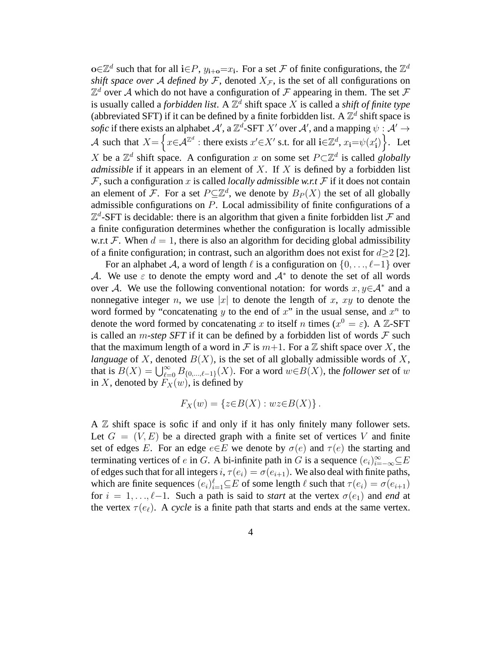o∈ $\mathbb{Z}^d$  such that for all i∈P,  $y_{i+o} = x_i$ . For a set F of finite configurations, the  $\mathbb{Z}^d$ *shift space over* A *defined by* F, denoted  $X_F$ , is the set of all configurations on  $\mathbb{Z}^d$  over A which do not have a configuration of F appearing in them. The set F is usually called a *forbidden list*. A  $\mathbb{Z}^d$  shift space X is called a *shift of finite type* (abbreviated SFT) if it can be defined by a finite forbidden list. A  $\mathbb{Z}^d$  shift space is *sofic* if there exists an alphabet  $A'$ , a  $\mathbb{Z}^d$ -SFT X' over  $A'$ , and a mapping  $\psi : A' \to A'$ A such that  $X = \left\{ x \in \mathcal{A}^{\mathbb{Z}^d} : \text{there exists } x' \in X' \text{ s.t. for all } i \in \mathbb{Z}^d, x_i = \psi(x'_i) \right\}.$  Let X be a  $\mathbb{Z}^d$  shift space. A configuration x on some set  $P \subset \mathbb{Z}^d$  is called *globally admissible* if it appears in an element of X. If X is defined by a forbidden list  $F$ , such a configuration x is called *locally admissible w.r.t*  $F$  if it does not contain an element of F. For a set  $P \subseteq \mathbb{Z}^d$ , we denote by  $B_P(X)$  the set of all globally admissible configurations on P. Local admissibility of finite configurations of a  $\mathbb{Z}^d$ -SFT is decidable: there is an algorithm that given a finite forbidden list  $\mathcal F$  and a finite configuration determines whether the configuration is locally admissible w.r.t F. When  $d = 1$ , there is also an algorithm for deciding global admissibility of a finite configuration; in contrast, such an algorithm does not exist for  $d\geq 2$  [2].

For an alphabet A, a word of length  $\ell$  is a configuration on  $\{0, \ldots, \ell-1\}$  over A. We use  $\varepsilon$  to denote the empty word and  $\mathcal{A}^*$  to denote the set of all words over A. We use the following conventional notation: for words  $x, y \in A^*$  and a nonnegative integer n, we use |x| to denote the length of x, xy to denote the word formed by "concatenating  $y$  to the end of  $x$ " in the usual sense, and  $x^n$  to denote the word formed by concatenating x to itself n times ( $x^0 = \varepsilon$ ). A Z-SFT is called an *m-step SFT* if it can be defined by a forbidden list of words  $\mathcal F$  such that the maximum length of a word in F is  $m+1$ . For a Z shift space over X, the *language* of X, denoted  $B(X)$ , is the set of all globally admissible words of X, that is  $B(X) = \bigcup_{\ell=0}^{\infty} B_{\{0,\ldots,\ell-1\}}(X)$ . For a word  $w \in B(X)$ , the *follower set* of w in X, denoted by  $F_X(w)$ , is defined by

$$
F_X(w) = \{z \in B(X) : wz \in B(X)\}.
$$

A  $\mathbb Z$  shift space is sofic if and only if it has only finitely many follower sets. Let  $G = (V, E)$  be a directed graph with a finite set of vertices V and finite set of edges E. For an edge  $e \in E$  we denote by  $\sigma(e)$  and  $\tau(e)$  the starting and terminating vertices of e in G. A bi-infinite path in G is a sequence  $(e_i)_{i=-\infty}^{\infty} \subseteq E$ of edges such that for all integers  $i, \tau(e_i) = \sigma(e_{i+1})$ . We also deal with finite paths, which are finite sequences  $(e_i)_{i=1}^{\ell} \subseteq E$  of some length  $\ell$  such that  $\tau(e_i) = \sigma(e_{i+1})$ for  $i = 1, \ldots, \ell-1$ . Such a path is said to *start* at the vertex  $\sigma(e_1)$  and *end* at the vertex  $\tau(e_\ell)$ . A *cycle* is a finite path that starts and ends at the same vertex.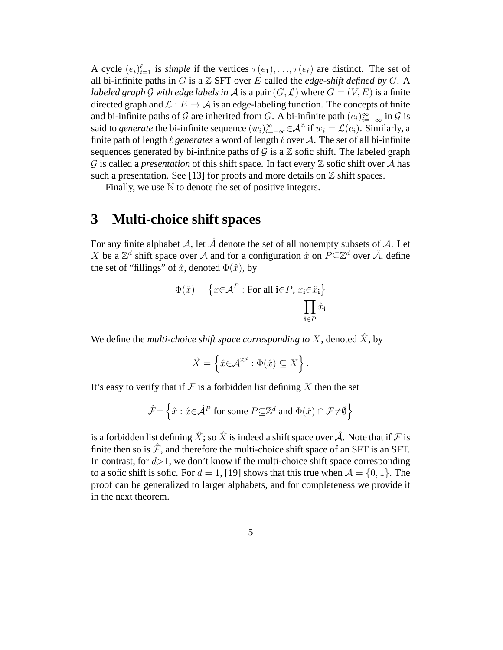A cycle  $(e_i)_{i=1}^{\ell}$  is *simple* if the vertices  $\tau(e_1), \ldots, \tau(e_{\ell})$  are distinct. The set of all bi-infinite paths in  $G$  is a  $\mathbb Z$  SFT over  $E$  called the *edge-shift defined by*  $G$ . A *labeled graph* G with edge labels in A is a pair  $(G, \mathcal{L})$  where  $G = (V, E)$  is a finite directed graph and  $\mathcal{L}: E \to \mathcal{A}$  is an edge-labeling function. The concepts of finite and bi-infinite paths of G are inherited from G. A bi-infinite path  $(e_i)_{i=-\infty}^{\infty}$  in G is said to *generate* the bi-infinite sequence  $(w_i)_{i=-\infty}^{\infty} \in \mathcal{A}^{\mathbb{Z}}$  if  $w_i = \mathcal{L}(e_i)$ . Similarly, a finite path of length  $\ell$  *generates* a word of length  $\ell$  over A. The set of all bi-infinite sequences generated by bi-infinite paths of  $\mathcal G$  is a  $\mathbb Z$  sofic shift. The labeled graph  $\mathcal G$  is called a *presentation* of this shift space. In fact every  $\mathbb Z$  sofic shift over  $\mathcal A$  has such a presentation. See [13] for proofs and more details on  $\mathbb Z$  shift spaces.

Finally, we use  $\mathbb N$  to denote the set of positive integers.

# **3 Multi-choice shift spaces**

For any finite alphabet A, let  $\hat{\mathcal{A}}$  denote the set of all nonempty subsets of A. Let X be a  $\mathbb{Z}^d$  shift space over A and for a configuration  $\hat{x}$  on  $P \subseteq \mathbb{Z}^d$  over  $\hat{\mathcal{A}}$ , define the set of "fillings" of  $\hat{x}$ , denoted  $\Phi(\hat{x})$ , by

$$
\Phi(\hat{x}) = \left\{ x \in \mathcal{A}^P : \text{For all } \mathbf{i} \in P, x_{\mathbf{i}} \in \hat{x}_{\mathbf{i}} \right\}
$$

$$
= \prod_{\mathbf{i} \in P} \hat{x}_{\mathbf{i}}
$$

We define the *multi-choice shift space corresponding to* X, denoted  $\hat{X}$ , by

$$
\hat{X} = \left\{ \hat{x} \in \hat{\mathcal{A}}^{\mathbb{Z}^d} : \Phi(\hat{x}) \subseteq X \right\}.
$$

It's easy to verify that if  $\mathcal F$  is a forbidden list defining X then the set

$$
\hat{\mathcal{F}} = \left\{ \hat{x} : \hat{x} \in \hat{\mathcal{A}}^P \text{ for some } P \subseteq \mathbb{Z}^d \text{ and } \Phi(\hat{x}) \cap \mathcal{F} \neq \emptyset \right\}
$$

is a forbidden list defining  $\hat{X}$ ; so  $\hat{X}$  is indeed a shift space over  $\hat{\mathcal{A}}$ . Note that if  $\mathcal F$  is finite then so is  $\mathcal{F}$ , and therefore the multi-choice shift space of an SFT is an SFT. In contrast, for  $d > 1$ , we don't know if the multi-choice shift space corresponding to a sofic shift is sofic. For  $d = 1$ , [19] shows that this true when  $A = \{0, 1\}$ . The proof can be generalized to larger alphabets, and for completeness we provide it in the next theorem.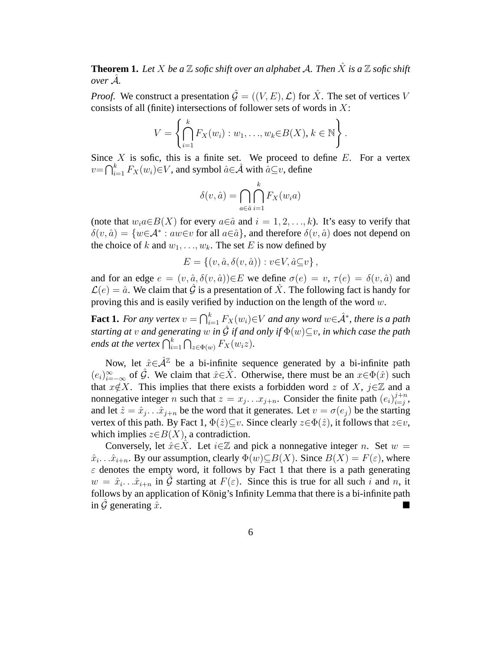**Theorem 1.** Let X be a  $\mathbb Z$  sofic shift over an alphabet A. Then  $\hat X$  is a  $\mathbb Z$  sofic shift  $over \rightarrow{A}$ *.* 

*Proof.* We construct a presentation  $\hat{\mathcal{G}} = ((V, E), \mathcal{L})$  for  $\hat{X}$ . The set of vertices V consists of all (finite) intersections of follower sets of words in  $X$ :

$$
V = \left\{ \bigcap_{i=1}^k F_X(w_i) : w_1, \dots, w_k \in B(X), k \in \mathbb{N} \right\}.
$$

Since  $X$  is sofic, this is a finite set. We proceed to define  $E$ . For a vertex  $v = \bigcap_{i=1}^k F_X(w_i) \in V$ , and symbol  $\hat{a} \in \hat{\mathcal{A}}$  with  $\hat{a} \subseteq v$ , define

$$
\delta(v, \hat{a}) = \bigcap_{a \in \hat{a}} \bigcap_{i=1}^{k} F_X(w_i a)
$$

(note that  $w_i a \in B(X)$  for every  $a \in \hat{a}$  and  $i = 1, 2, ..., k$ ). It's easy to verify that  $\delta(v, \hat{a}) = \{w \in A^* : aw \in v \text{ for all } a \in \hat{a}\}\$ , and therefore  $\delta(v, \hat{a})$  does not depend on the choice of k and  $w_1, \ldots, w_k$ . The set E is now defined by

$$
E = \{(v, \hat{a}, \delta(v, \hat{a})) : v \in V, \hat{a} \subseteq v\},\
$$

and for an edge  $e = (v, \hat{a}, \delta(v, \hat{a})) \in E$  we define  $\sigma(e) = v, \tau(e) = \delta(v, \hat{a})$  and  $\mathcal{L}(e) = \hat{a}$ . We claim that  $\hat{\mathcal{G}}$  is a presentation of  $\hat{X}$ . The following fact is handy for proving this and is easily verified by induction on the length of the word  $w$ .

**Fact 1.** *For any vertex*  $v = \bigcap_{i=1}^k F_X(w_i) \in V$  *and any word*  $w \in \hat{\mathcal{A}}^*$ *, there is a path starting at* v and generating w in  $\hat{G}$  if and only if  $\Phi(w) \subseteq v$ , in which case the path *ends at the vertex*  $\bigcap_{i=1}^{k} \bigcap_{z \in \Phi(w)} F_X(w_i z)$ *.* 

Now, let  $\hat{x} \in \hat{\mathcal{A}}^{\mathbb{Z}}$  be a bi-infinite sequence generated by a bi-infinite path  $(e_i)_{i=-\infty}^{\infty}$  of  $\hat{G}$ . We claim that  $\hat{x} \in \hat{X}$ . Otherwise, there must be an  $x \in \Phi(\hat{x})$  such that  $x \notin X$ . This implies that there exists a forbidden word z of X, j∈Z and a nonnegative integer *n* such that  $z = x_j \dots x_{j+n}$ . Consider the finite path  $(e_i)_{i=j}^{j+n}$  $_{i=j}^{j+n},$ and let  $\hat{z} = \hat{x}_j \dots \hat{x}_{j+n}$  be the word that it generates. Let  $v = \sigma(e_j)$  be the starting vertex of this path. By Fact 1,  $\Phi(\hat{z}) \subseteq v$ . Since clearly  $z \in \Phi(\hat{z})$ , it follows that  $z \in v$ , which implies  $z \in B(X)$ , a contradiction.

Conversely, let  $\hat{x} \in \hat{X}$ . Let  $i \in \mathbb{Z}$  and pick a nonnegative integer n. Set  $w =$  $\hat{x}_i \dots \hat{x}_{i+n}$ . By our assumption, clearly  $\Phi(w) \subseteq B(X)$ . Since  $B(X) = F(\varepsilon)$ , where  $\varepsilon$  denotes the empty word, it follows by Fact 1 that there is a path generating  $w = \hat{x}_i \cdot \hat{x}_{i+n}$  in  $\hat{G}$  starting at  $F(\varepsilon)$ . Since this is true for all such i and n, it follows by an application of König's Infinity Lemma that there is a bi-infinite path in  $\hat{G}$  generating  $\hat{x}$ .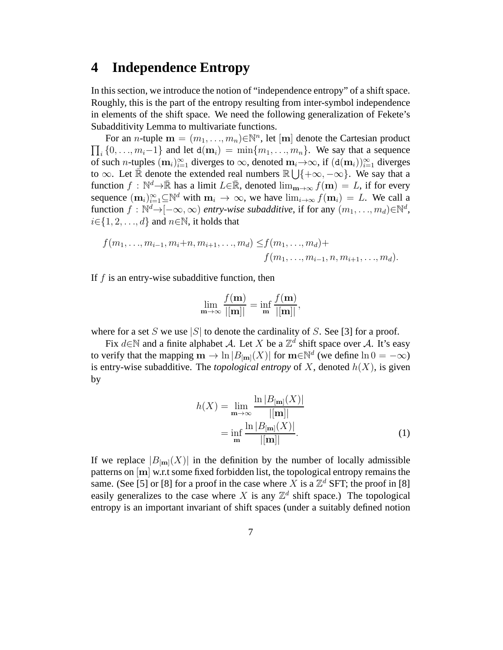#### **4 Independence Entropy**

In this section, we introduce the notion of "independence entropy" of a shift space. Roughly, this is the part of the entropy resulting from inter-symbol independence in elements of the shift space. We need the following generalization of Fekete's Subadditivity Lemma to multivariate functions.

For an *n*-tuple  $\mathbf{m} = (m_1, ..., m_n) \in \mathbb{N}^n$ , let  $[\mathbf{m}]$  denote the Cartesian product  $\prod_i \{0, \ldots, m_i-1\}$  and let  $d(\mathbf{m}_i) = \min\{m_1, \ldots, m_n\}$ . We say that a sequence of such n-tuples  $(m_i)_{i=1}^{\infty}$  diverges to  $\infty$ , denoted  $m_i\rightarrow\infty$ , if  $(d(m_i))_{i=1}^{\infty}$  diverges to  $\infty$ . Let  $\overline{\mathbb{R}}$  denote the extended real numbers  $\mathbb{R} \cup \{+\infty, -\infty\}$ . We say that a function  $f : \mathbb{N}^d \to \mathbb{R}$  has a limit  $L \in \mathbb{R}$ , denoted  $\lim_{m \to \infty} f(m) = L$ , if for every sequence  $(\mathbf{m}_i)_{i=1}^{\infty} \subseteq \mathbb{N}^d$  with  $\mathbf{m}_i \to \infty$ , we have  $\lim_{i \to \infty} f(\mathbf{m}_i) = L$ . We call a function  $f: \mathbb{N}^d \to [-\infty, \infty)$  *entry-wise subadditive*, if for any  $(m_1, ..., m_d) \in \mathbb{N}^d$ ,  $i \in \{1, 2, \ldots, d\}$  and  $n \in \mathbb{N}$ , it holds that

$$
f(m_1, ..., m_{i-1}, m_i+n, m_{i+1}, ..., m_d) \leq f(m_1, ..., m_d) +
$$
  
 $f(m_1, ..., m_{i-1}, n, m_{i+1}, ..., m_d).$ 

If  $f$  is an entry-wise subadditive function, then

$$
\lim_{\mathbf{m}\to\infty}\frac{f(\mathbf{m})}{|[\mathbf{m}]|}=\inf_{\mathbf{m}}\frac{f(\mathbf{m})}{|[\mathbf{m}]|},
$$

where for a set S we use |S| to denote the cardinality of S. See [3] for a proof.

Fix  $d \in \mathbb{N}$  and a finite alphabet A. Let X be a  $\mathbb{Z}^d$  shift space over A. It's easy to verify that the mapping  $\mathbf{m} \to \ln |B_{[\mathbf{m}]}(X)|$  for  $\mathbf{m} \in \mathbb{N}^d$  (we define  $\ln 0 = -\infty$ ) is entry-wise subadditive. The *topological entropy* of X, denoted  $h(X)$ , is given by

$$
h(X) = \lim_{m \to \infty} \frac{\ln |B_{[m]}(X)|}{|[m]|} \\
= \inf_{m} \frac{\ln |B_{[m]}(X)|}{|[m]|}.\n\tag{1}
$$

If we replace  $|B_{\text{[m]}}(X)|$  in the definition by the number of locally admissible patterns on [m] w.r.t some fixed forbidden list, the topological entropy remains the same. (See [5] or [8] for a proof in the case where X is a  $\mathbb{Z}^d$  SFT; the proof in [8] easily generalizes to the case where X is any  $\mathbb{Z}^d$  shift space.) The topological entropy is an important invariant of shift spaces (under a suitably defined notion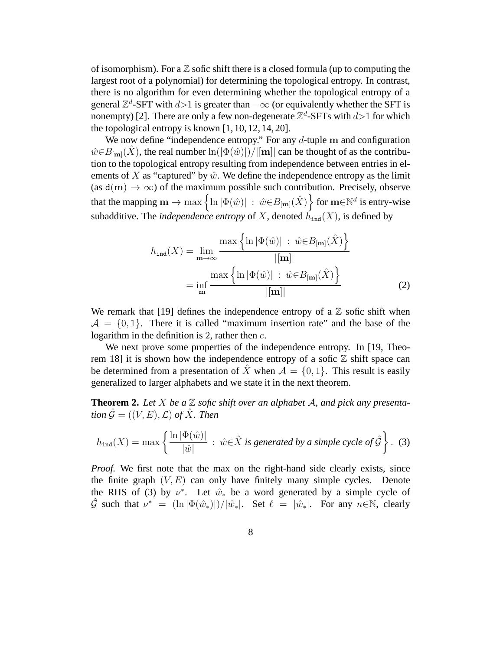of isomorphism). For a  $\mathbb Z$  sofic shift there is a closed formula (up to computing the largest root of a polynomial) for determining the topological entropy. In contrast, there is no algorithm for even determining whether the topological entropy of a general  $\mathbb{Z}^d$ -SFT with  $d>1$  is greater than  $-\infty$  (or equivalently whether the SFT is nonempty) [2]. There are only a few non-degenerate  $\mathbb{Z}^d$ -SFTs with  $d>1$  for which the topological entropy is known  $[1, 10, 12, 14, 20]$ .

We now define "independence entropy." For any  $d$ -tuple m and configuration  $\hat{w} \in B_{\text{[m]}}(X)$ , the real number  $\ln(|\Phi(\hat{w})|)/||\mathbf{m}||$  can be thought of as the contribution to the topological entropy resulting from independence between entries in elements of X as "captured" by  $\hat{w}$ . We define the independence entropy as the limit (as  $d(m) \rightarrow \infty$ ) of the maximum possible such contribution. Precisely, observe that the mapping  $\mathbf{m} \to \max\left\{\ln |\Phi(\hat{w})| \ : \ \hat{w} {\in} B_{[\mathbf{m}]}(\hat{X}) \right\}$  for  $\mathbf{m} {\in} \mathbb{N}^d$  is entry-wise subadditive. The *independence entropy* of X, denoted  $h_{ind}(X)$ , is defined by

$$
h_{\text{ind}}(X) = \lim_{\mathbf{m}\to\infty} \frac{\max\left\{\ln|\Phi(\hat{w})| \ : \ \hat{w}\in B_{[\mathbf{m}]}(\hat{X})\right\}}{|[\mathbf{m}]|}
$$

$$
= \inf_{\mathbf{m}} \frac{\max\left\{\ln|\Phi(\hat{w})| \ : \ \hat{w}\in B_{[\mathbf{m}]}(\hat{X})\right\}}{|[\mathbf{m}]|}
$$
(2)

We remark that [19] defines the independence entropy of a  $\mathbb Z$  sofic shift when  $A = \{0, 1\}$ . There it is called "maximum insertion rate" and the base of the logarithm in the definition is 2, rather then  $e$ .

We next prove some properties of the independence entropy. In [19, Theorem 18] it is shown how the independence entropy of a sofic  $\mathbb Z$  shift space can be determined from a presentation of  $\hat{X}$  when  $\mathcal{A} = \{0, 1\}$ . This result is easily generalized to larger alphabets and we state it in the next theorem.

**Theorem 2.** Let X be a  $\mathbb{Z}$  sofic shift over an alphabet A, and pick any presenta*tion*  $\hat{G} = ((V, E), \mathcal{L})$  *of*  $\hat{X}$ *. Then* 

$$
h_{\text{ind}}(X) = \max \left\{ \frac{\ln |\Phi(\hat{w})|}{|\hat{w}|} : \hat{w} \in \hat{X} \text{ is generated by a simple cycle of } \hat{\mathcal{G}} \right\}. \tag{3}
$$

*Proof.* We first note that the max on the right-hand side clearly exists, since the finite graph  $(V, E)$  can only have finitely many simple cycles. Denote the RHS of (3) by  $\nu^*$ . Let  $\hat{w}_*$  be a word generated by a simple cycle of  $\hat{\mathcal{G}}$  such that  $\nu^* = (\ln |\Phi(\hat{w}_*)|)/|\hat{w}_*|$ . Set  $\ell = |\hat{w}_*|$ . For any  $n \in \mathbb{N}$ , clearly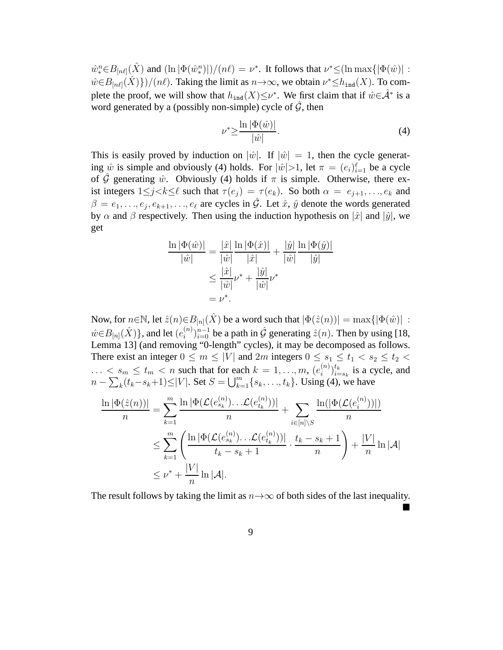$\hat{w}_*^n \in B_{[n\ell]}(\hat{X})$  and  $(\ln |\Phi(\hat{w}_*^n)|)/(n\ell) = \nu^*$ . It follows that  $\nu^* \leq (\ln \max{|\Phi(\hat{w})|}$ :  $\hat{w} \in B_{[n\ell]}(\hat{X})\}/(n\ell)$ . Taking the limit as  $n \to \infty$ , we obtain  $\nu^* \le h_{\text{ind}}(X)$ . To complete the proof, we will show that  $h_{\text{ind}}(X) \leq \nu^*$ . We first claim that if  $\hat{w} \in \hat{\mathcal{A}}^*$  is a word generated by a (possibly non-simple) cycle of  $\hat{G}$ , then

$$
\nu^* \ge \frac{\ln |\Phi(\hat{w})|}{|\hat{w}|}.
$$
\n(4)

This is easily proved by induction on  $|\hat{w}|$ . If  $|\hat{w}| = 1$ , then the cycle generating  $\hat{w}$  is simple and obviously (4) holds. For  $|\hat{w}|>1$ , let  $\pi = (e_i)_{i=1}^{\ell}$  be a cycle of  $\hat{G}$  generating  $\hat{w}$ . Obviously (4) holds if  $\pi$  is simple. Otherwise, there exist integers  $1 \leq j < k \leq \ell$  such that  $\tau(e_j) = \tau(e_k)$ . So both  $\alpha = e_{j+1}, \ldots, e_k$  and  $\beta = e_1, \ldots, e_j, e_{k+1}, \ldots, e_\ell$  are cycles in  $\hat{G}$ . Let  $\hat{x}$ ,  $\hat{y}$  denote the words generated by  $\alpha$  and  $\beta$  respectively. Then using the induction hypothesis on  $|\hat{x}|$  and  $|\hat{y}|$ , we get

$$
\frac{\ln |\Phi(\hat{w})|}{|\hat{w}|} = \frac{|\hat{x}|}{|\hat{w}|} \frac{\ln |\Phi(\hat{x})|}{|\hat{x}|} + \frac{|\hat{y}|}{|\hat{w}|} \frac{\ln |\Phi(\hat{y})|}{|\hat{y}|} \n\leq \frac{|\hat{x}|}{|\hat{w}|} \nu^* + \frac{|\hat{y}|}{|\hat{w}|} \nu^* \n= \nu^*.
$$

Now, for  $n \in \mathbb{N}$ , let  $\hat{z}(n) \in B_{[n]}(\hat{X})$  be a word such that  $|\Phi(\hat{z}(n))| = \max\{|\Phi(\hat{w})| :$  $\hat{w} \in B_{[n]}(\hat{X})\},$  and let  $(e^{(n)}_i)$  $\hat{\mathbf{z}}_{i}^{(n)}$ )<sub>i=0</sub> be a path in  $\hat{\mathcal{G}}$  generating  $\hat{z}(n)$ . Then by using [18, Lemma 13] (and removing "0-length" cycles), it may be decomposed as follows. There exist an integer  $0 \le m \le |V|$  and  $2m$  integers  $0 \le s_1 \le t_1 < s_2 \le t_2$  $\ldots \leq s_m \leq t_m < n$  such that for each  $k = 1, \ldots, m$ ,  $(e_i^{(n)})$  $\binom{n}{i}\}_{i=1}^{t_k}$  $\binom{t_k}{i=s_k}$  is a cycle, and  $n - \sum_{k} (t_k - s_k + 1) \le |V|$ . Set  $S = \bigcup_{k=1}^{m} \{s_k, \ldots, t_k\}$ . Using (4), we have

$$
\frac{\ln |\Phi(\hat{z}(n))|}{n} = \sum_{k=1}^{m} \frac{\ln |\Phi(\mathcal{L}(e_{s_k}^{(n)})\dots\mathcal{L}(e_{t_k}^{(n)}))|}{n} + \sum_{i \in [n] \setminus S} \frac{\ln(|\Phi(\mathcal{L}(e_i^{(n)}))|)}{n}
$$
  

$$
\leq \sum_{k=1}^{m} \left( \frac{\ln |\Phi(\mathcal{L}(e_{s_k}^{(n)})\dots\mathcal{L}(e_{t_k}^{(n)}))|}{t_k - s_k + 1} \cdot \frac{t_k - s_k + 1}{n} \right) + \frac{|V|}{n} \ln |\mathcal{A}|
$$
  

$$
\leq \nu^* + \frac{|V|}{n} \ln |\mathcal{A}|.
$$

The result follows by taking the limit as  $n \rightarrow \infty$  of both sides of the last inequality.

È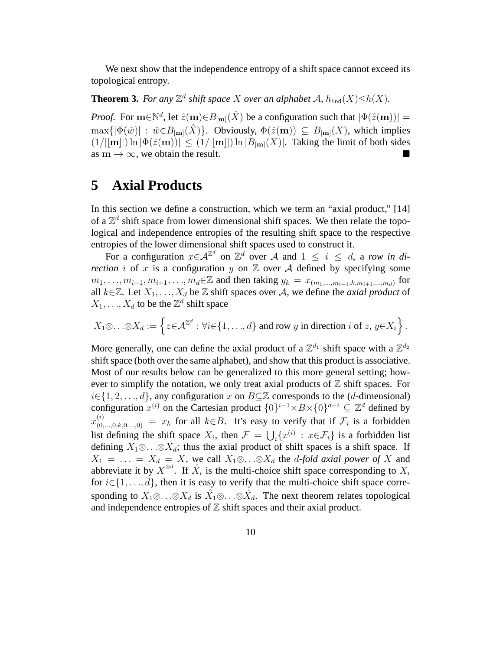We next show that the independence entropy of a shift space cannot exceed its topological entropy.

**Theorem 3.** *For any*  $\mathbb{Z}^d$  *shift space* X *over an alphabet* A,  $h_{\text{ind}}(X) \leq h(X)$ *.* 

*Proof.* For  $\mathbf{m} \in \mathbb{N}^d$ , let  $\hat{z}(\mathbf{m}) \in B_{[\mathbf{m}]}(\hat{X})$  be a configuration such that  $|\Phi(\hat{z}(\mathbf{m}))|$  =  $\max\{|\Phi(\hat{w})| : \hat{w} \in B_{\text{[m]}}(\hat{X})\}.$  Obviously,  $\Phi(\hat{z}(\mathbf{m})) \subseteq B_{\text{[m]}}(X)$ , which implies  $(1/||\mathbf{m}||)\ln |\Phi(\hat{z}(\mathbf{m}))| \leq (1/||\mathbf{m}||)\ln |B_{\mathbf{m}]}(X)|$ . Taking the limit of both sides as  $m \to \infty$ , we obtain the result.

# **5 Axial Products**

In this section we define a construction, which we term an "axial product," [14] of a  $\mathbb{Z}^d$  shift space from lower dimensional shift spaces. We then relate the topological and independence entropies of the resulting shift space to the respective entropies of the lower dimensional shift spaces used to construct it.

For a configuration  $x \in \mathcal{A}^{\mathbb{Z}^d}$  on  $\mathbb{Z}^d$  over A and  $1 \leq i \leq d$ , a *row in direction i* of x is a configuration y on  $\mathbb Z$  over A defined by specifying some  $m_1, \ldots, m_{i-1}, m_{i+1}, \ldots, m_d \in \mathbb{Z}$  and then taking  $y_k = x_{(m_1, \ldots, m_{i-1}, k, m_{i+1}, \ldots, m_d)}$  for all  $k \in \mathbb{Z}$ . Let  $X_1, \ldots, X_d$  be  $\mathbb Z$  shift spaces over A, we define the *axial product* of  $X_1, \ldots, X_d$  to be the  $\mathbb{Z}^d$  shift space

$$
X_1 \otimes \ldots \otimes X_d := \left\{ z \in \mathcal{A}^{\mathbb{Z}^d} : \forall i \in \{1, \ldots, d\} \text{ and row } y \text{ in direction } i \text{ of } z, y \in X_i \right\}.
$$

More generally, one can define the axial product of a  $\mathbb{Z}^{d_1}$  shift space with a  $\mathbb{Z}^{d_2}$ shift space (both over the same alphabet), and show that this product is associative. Most of our results below can be generalized to this more general setting; however to simplify the notation, we only treat axial products of  $\mathbb Z$  shift spaces. For  $i \in \{1, 2, \ldots, d\}$ , any configuration x on  $B \subseteq \mathbb{Z}$  corresponds to the (d-dimensional) configuration  $x^{(i)}$  on the Cartesian product  $\{0\}^{i-1} \times B \times \{0\}^{d-i} \subseteq \mathbb{Z}^d$  defined by  $x_{(0,\ldots,0,k,0,\ldots,0)}^{(i)} = x_k$  for all  $k \in B$ . It's easy to verify that if  $\mathcal{F}_i$  is a forbidden list defining the shift space  $X_i$ , then  $\mathcal{F} = \bigcup_i \{x^{(i)} : x \in \mathcal{F}_i\}$  is a forbidden list defining  $X_1 \otimes \ldots \otimes X_d$ ; thus the axial product of shift spaces is a shift space. If  $X_1 = \ldots = X_d = X$ , we call  $X_1 \otimes \ldots \otimes X_d$  the *d-fold axial power of* X and abbreviate it by  $X^{\otimes d}$ . If  $\hat{X}_i$  is the multi-choice shift space corresponding to  $X_i$ for  $i \in \{1, \ldots, d\}$ , then it is easy to verify that the multi-choice shift space corresponding to  $X_1 \otimes \ldots \otimes X_d$  is  $\hat{X}_1 \otimes \ldots \otimes \hat{X}_d$ . The next theorem relates topological and independence entropies of  $Z$  shift spaces and their axial product.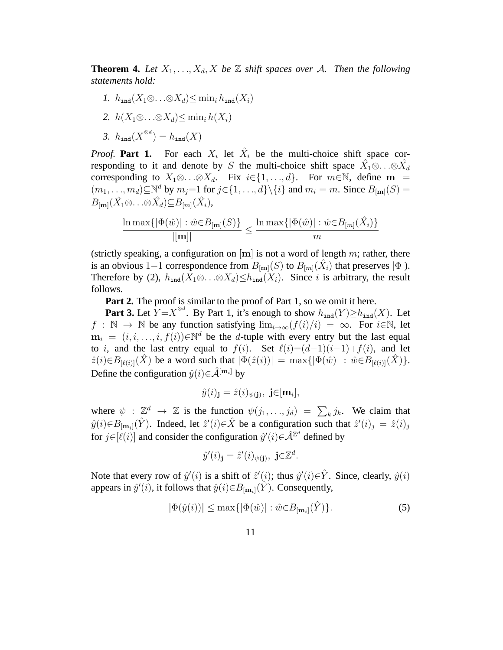**Theorem 4.** Let  $X_1, \ldots, X_d, X$  be  $\mathbb{Z}$  shift spaces over A. Then the following *statements hold:*

- *1.*  $h_{\text{ind}}(X_1 \otimes \ldots \otimes X_d) \leq \min_i h_{\text{ind}}(X_i)$
- 2.  $h(X_1 \otimes \ldots \otimes X_d) \leq \min_i h(X_i)$
- 3.  $h_{\text{ind}}(X^{\otimes d}) = h_{\text{ind}}(X)$

*Proof.* Part 1. For each  $X_i$  let  $\hat{X}_i$  be the multi-choice shift space corresponding to it and denote by S the multi-choice shift space  $\hat{X}_1 \otimes \ldots \otimes \hat{X}_d$ corresponding to  $X_1 \otimes \ldots \otimes X_d$ . Fix  $i \in \{1, \ldots, d\}$ . For  $m \in \mathbb{N}$ , define m =  $(m_1, \ldots, m_d) \subseteq \mathbb{N}^d$  by  $m_j = 1$  for  $j \in \{1, \ldots, d\} \setminus \{i\}$  and  $m_i = m$ . Since  $B_{[m]}(S) =$  $B_{\left[\mathbf{m}\right]}(\hat{X}_1 \otimes \ldots \otimes \hat{X}_d) \subseteq B_{\left[m\right]}(\hat{X}_i),$ 

$$
\frac{\ln \max\{|\Phi(\hat{w})| : \hat{w} \in B_{[\mathbf{m}]}(S)\}}{|[\mathbf{m}]|} \le \frac{\ln \max\{|\Phi(\hat{w})| : \hat{w} \in B_{[m]}(\hat{X}_i)\}}{m}
$$

(strictly speaking, a configuration on  $[m]$  is not a word of length m; rather, there is an obvious 1–1 correspondence from  $B_{[m]}(S)$  to  $B_{[m]}(\hat{X}_i)$  that preserves  $|\Phi|$ ). Therefore by (2),  $h_{\text{ind}}(X_1 \otimes \ldots \otimes X_d) \leq h_{\text{ind}}(X_i)$ . Since i is arbitrary, the result follows.

**Part 2.** The proof is similar to the proof of Part 1, so we omit it here.

**Part 3.** Let  $Y = X^{\otimes d}$ . By Part 1, it's enough to show  $h_{\text{ind}}(Y) \ge h_{\text{ind}}(X)$ . Let  $f : \mathbb{N} \to \mathbb{N}$  be any function satisfying  $\lim_{i \to \infty} (f(i)/i) = \infty$ . For  $i \in \mathbb{N}$ , let  $m_i = (i, i, \dots, i, f(i)) \in \mathbb{N}^d$  be the d-tuple with every entry but the last equal to i, and the last entry equal to  $f(i)$ . Set  $\ell(i)=(d-1)(i-1)+f(i)$ , and let  $\hat{z}(i) \in B_{[\ell(i)]}(X)$  be a word such that  $|\Phi(\hat{z}(i))| = \max\{|\Phi(\hat{w})| : \hat{w} \in B_{[\ell(i)]}(X)\}.$ Define the configuration  $\hat{y}(i) \in \hat{\mathcal{A}}^{\text{[m_i]}}$  by

$$
\hat{y}(i)_{\mathbf{j}}=\hat{z}(i)_{\psi(\mathbf{j})},\ \mathbf{j}\in[\mathbf{m}_i],
$$

where  $\psi : \mathbb{Z}^d \to \mathbb{Z}$  is the function  $\psi(j_1, \ldots, j_d) = \sum_k j_k$ . We claim that  $\hat{y}(i) \in B_{\lfloor \mathbf{m}_i \rfloor}(\hat{Y})$ . Indeed, let  $\hat{z}'(i) \in \hat{X}$  be a configuration such that  $\hat{z}'(i)_j = \hat{z}(i)_j$ for  $j \in [\ell(i)]$  and consider the configuration  $\hat{y}'(i) \in \hat{\mathcal{A}}^{\mathbb{Z}^d}$  defined by

$$
\hat{y}'(i)_{\mathbf{j}} = \hat{z}'(i)_{\psi(\mathbf{j})}, \ \mathbf{j} \in \mathbb{Z}^d.
$$

Note that every row of  $\hat{y}'(i)$  is a shift of  $\hat{z}'(i)$ ; thus  $\hat{y}'(i) \in \hat{Y}$ . Since, clearly,  $\hat{y}(i)$ appears in  $\hat{y}'(i)$ , it follows that  $\hat{y}(i) \in B_{\lfloor \mathbf{m}_i \rfloor}(\hat{Y})$ . Consequently,

$$
|\Phi(\hat{y}(i))| \le \max\{|\Phi(\hat{w})| : \hat{w} \in B_{\lfloor \mathbf{m}_i \rfloor}(\hat{Y})\}.
$$
\n(5)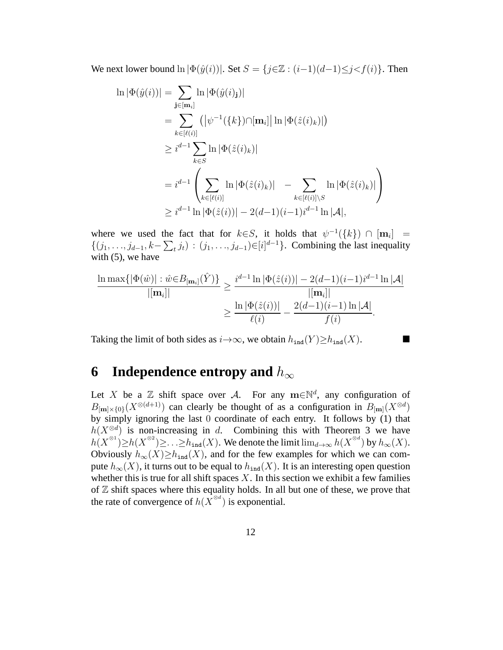We next lower bound  $\ln |\Phi(\hat{y}(i))|$ . Set  $S = \{j \in \mathbb{Z} : (i-1)(d-1) \le j < f(i)\}\$ . Then

$$
\ln |\Phi(\hat{y}(i))| = \sum_{\mathbf{j} \in [\mathbf{m}_i]} \ln |\Phi(\hat{y}(i)_{\mathbf{j}})|
$$
  
\n
$$
= \sum_{k \in [\ell(i)]} (|\psi^{-1}(\{k\}) \cap [\mathbf{m}_i] | \ln |\Phi(\hat{z}(i)_k)|)
$$
  
\n
$$
\geq i^{d-1} \sum_{k \in S} \ln |\Phi(\hat{z}(i)_k)|
$$
  
\n
$$
= i^{d-1} \left( \sum_{k \in [\ell(i)]} \ln |\Phi(\hat{z}(i)_k)| - \sum_{k \in [\ell(i)] \setminus S} \ln |\Phi(\hat{z}(i)_k)| \right)
$$
  
\n
$$
\geq i^{d-1} \ln |\Phi(\hat{z}(i))| - 2(d-1)(i-1)i^{d-1} \ln |\mathcal{A}|,
$$

where we used the fact that for  $k \in S$ , it holds that  $\psi^{-1}(\{k\}) \cap [\mathbf{m}_i] =$  $\{(j_1, ..., j_{d-1}, k-\sum_t j_t) : (j_1, ..., j_{d-1}) \in [i]^{d-1}\}.$  Combining the last inequality with  $(5)$ , we have

$$
\frac{\ln \max\{|\Phi(\hat{w})| : \hat{w} \in B_{[\mathbf{m}_i]}(\hat{Y})\}}{|[\mathbf{m}_i]|} \ge \frac{i^{d-1} \ln |\Phi(\hat{z}(i))| - 2(d-1)(i-1)i^{d-1} \ln |\mathcal{A}|}{|[\mathbf{m}_i]|} \ge \frac{\ln |\Phi(\hat{z}(i))|}{\ell(i)} - \frac{2(d-1)(i-1) \ln |\mathcal{A}|}{f(i)}.
$$

Taking the limit of both sides as  $i \rightarrow \infty$ , we obtain  $h_{\text{ind}}(Y) \geq h_{\text{ind}}(X)$ .

## **6** Independence entropy and  $h_{\infty}$

Let X be a  $\mathbb Z$  shift space over A. For any  $m \in \mathbb N^d$ , any configuration of  $B_{\text{[m]}\times\{0\}}(X^{\otimes (d+1)})$  can clearly be thought of as a configuration in  $B_{\text{[m]}}(X^{\otimes d})$ by simply ignoring the last  $\overline{0}$  coordinate of each entry. It follows by (1) that  $h(X^{\otimes d})$  is non-increasing in d. Combining this with Theorem 3 we have  $h(X^{\otimes 1}) \geq h(X^{\otimes 2}) \geq \ldots \geq h_{\text{ind}}(X)$ . We denote the limit  $\lim_{d\to\infty} h(X^{\otimes d})$  by  $h_{\infty}(X)$ . Obviously  $h_{\infty}(X) \geq h_{\text{ind}}(X)$ , and for the few examples for which we can compute  $h_{\infty}(X)$ , it turns out to be equal to  $h_{\text{ind}}(X)$ . It is an interesting open question whether this is true for all shift spaces  $X$ . In this section we exhibit a few families of  $\mathbb Z$  shift spaces where this equality holds. In all but one of these, we prove that the rate of convergence of  $h(X^{\otimes d})$  is exponential.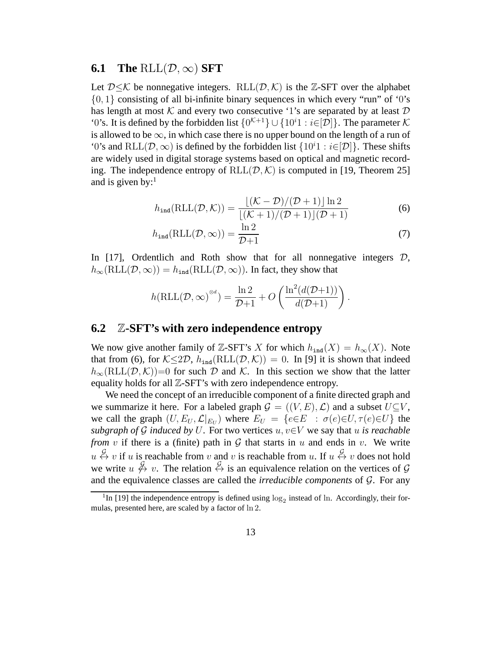#### **6.1** The RLL $(D, \infty)$  SFT

Let  $D \le K$  be nonnegative integers. RLL( $(D, K)$  is the Z-SFT over the alphabet  $\{0, 1\}$  consisting of all bi-infinite binary sequences in which every "run" of '0's has length at most K and every two consecutive '1's are separated by at least  $D$ '0's. It is defined by the forbidden list  $\{0^{K+1}\}\cup\{10^i1:i\in[\mathcal{D}]\}\.$  The parameter K is allowed to be  $\infty$ , in which case there is no upper bound on the length of a run of '0's and RLL $(D, \infty)$  is defined by the forbidden list  $\{10^i1 : i \in [D]\}$ . These shifts are widely used in digital storage systems based on optical and magnetic recording. The independence entropy of  $RLL(\mathcal{D},\mathcal{K})$  is computed in [19, Theorem 25] and is given by: $<sup>1</sup>$ </sup>

$$
h_{\text{ind}}(\text{RLL}(\mathcal{D}, \mathcal{K})) = \frac{\lfloor (\mathcal{K} - \mathcal{D})/(\mathcal{D} + 1) \rfloor \ln 2}{\lfloor (\mathcal{K} + 1)/(\mathcal{D} + 1) \rfloor (\mathcal{D} + 1)}
$$
(6)

$$
h_{\text{ind}}(\text{RLL}(\mathcal{D}, \infty)) = \frac{\ln 2}{\mathcal{D} + 1} \tag{7}
$$

In [17], Ordentlich and Roth show that for all nonnegative integers  $D$ ,  $h_{\infty}(\text{RLL}(\mathcal{D}, \infty)) = h_{\text{ind}}(\text{RLL}(\mathcal{D}, \infty))$ . In fact, they show that

$$
h(\text{RLL}(\mathcal{D}, \infty)^{\otimes d}) = \frac{\ln 2}{\mathcal{D}+1} + O\left(\frac{\ln^2(d(\mathcal{D}+1))}{d(\mathcal{D}+1)}\right).
$$

#### **6.2** Z**-SFT's with zero independence entropy**

We now give another family of Z-SFT's X for which  $h_{ind}(X) = h_{\infty}(X)$ . Note that from (6), for  $K \leq 2D$ ,  $h_{ind}(RLL(\mathcal{D},\mathcal{K})) = 0$ . In [9] it is shown that indeed  $h_{\infty}(\text{RLL}(\mathcal{D},\mathcal{K}))=0$  for such  $\mathcal D$  and  $\mathcal K$ . In this section we show that the latter equality holds for all  $\mathbb{Z}$ -SFT's with zero independence entropy.

We need the concept of an irreducible component of a finite directed graph and we summarize it here. For a labeled graph  $\mathcal{G} = ((V, E), \mathcal{L})$  and a subset  $U \subseteq V$ , we call the graph  $(U, E_U, \mathcal{L}|_{E_U})$  where  $E_U = \{e \in E : \sigma(e) \in U, \tau(e) \in U\}$  the *subgraph of* G *induced by* U. For two vertices  $u, v \in V$  we say that u *is reachable from* v if there is a (finite) path in  $G$  that starts in  $u$  and ends in  $v$ . We write  $u \leftrightarrow v$  if u is reachable from v and v is reachable from u. If  $u \leftrightarrow v$  does not hold we write  $u \notin v$ . The relation  $\stackrel{\mathcal{G}}{\leftrightarrow}$  is an equivalence relation on the vertices of  $\mathcal{G}$ and the equivalence classes are called the *irreducible components* of G. For any

<sup>&</sup>lt;sup>1</sup>In [19] the independence entropy is defined using  $log_2$  instead of ln. Accordingly, their formulas, presented here, are scaled by a factor of ln 2.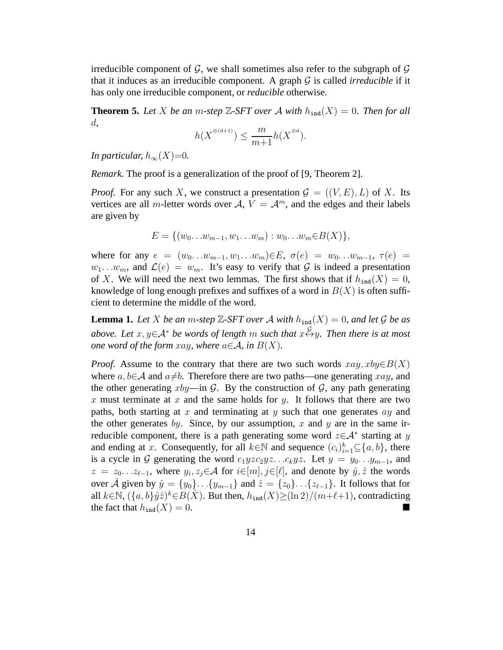irreducible component of  $\mathcal{G}$ , we shall sometimes also refer to the subgraph of  $\mathcal{G}$ that it induces as an irreducible component. A graph G is called *irreducible* if it has only one irreducible component, or *reducible* otherwise.

**Theorem 5.** Let X be an m-step Z-SFT over A with  $h_{\text{ind}}(X) = 0$ . Then for all d*,*

$$
h(X^{\otimes (d+1)}) \le \frac{m}{m+1} h(X^{\otimes d}).
$$

*In particular,*  $h_{\infty}(X)=0$ .

*Remark.* The proof is a generalization of the proof of [9, Theorem 2].

*Proof.* For any such X, we construct a presentation  $\mathcal{G} = ((V, E), L)$  of X. Its vertices are all m-letter words over A,  $V = A^m$ , and the edges and their labels are given by

$$
E = \{ (w_0 \dots w_{m-1}, w_1 \dots w_m) : w_0 \dots w_m \in B(X) \},\
$$

where for any  $e = (w_0 \dots w_{m-1}, w_1 \dots w_m) \in E$ ,  $\sigma(e) = w_0 \dots w_{m-1}$ ,  $\tau(e) =$  $w_1...w_m$ , and  $\mathcal{L}(e) = w_m$ . It's easy to verify that G is indeed a presentation of X. We will need the next two lemmas. The first shows that if  $h_{\text{ind}}(X) = 0$ , knowledge of long enough prefixes and suffixes of a word in  $B(X)$  is often sufficient to determine the middle of the word.

**Lemma 1.** Let *X* be an *m*-step  $\mathbb{Z}$ -SFT over *A* with  $h_{\text{ind}}(X) = 0$ , and let *G* be as *above. Let*  $x, y ∈ A^*$  *be words of length* m *such that*  $x \stackrel{G}{\leftrightarrow} y$ *. Then there is at most one word of the form xay, where*  $a \in \mathcal{A}$ *, in*  $B(X)$ *.* 

*Proof.* Assume to the contrary that there are two such words  $xay, xby \in B(X)$ where  $a, b \in A$  and  $a \neq b$ . Therefore there are two paths—one generating xay, and the other generating  $xby$ —in G. By the construction of G, any path generating x must terminate at x and the same holds for y. It follows that there are two paths, both starting at x and terminating at y such that one generates  $ay$  and the other generates by. Since, by our assumption, x and y are in the same irreducible component, there is a path generating some word  $z \in A^*$  starting at y and ending at x. Consequently, for all  $k \in \mathbb{N}$  and sequence  $(c_i)_{i=1}^k \subseteq \{a, b\}$ , there is a cycle in G generating the word  $c_1yzc_2yz...c_kyz$ . Let  $y = y_0...y_{m-1}$ , and  $z = z_0 \dots z_{\ell-1}$ , where  $y_i, z_j \in \mathcal{A}$  for  $i \in [m], j \in [\ell]$ , and denote by  $\hat{y}, \hat{z}$  the words over  $\hat{A}$  given by  $\hat{y} = \{y_0\} \dots \{y_{m-1}\}\$  and  $\hat{z} = \{z_0\} \dots \{z_{\ell-1}\}\$ . It follows that for all  $k \in \mathbb{N}$ ,  $({a, b} \hat{y} \hat{z})^k \in B(\hat{X})$ . But then,  $h_{\text{ind}}(X) \geq (\ln 2)/(m+\ell+1)$ , contradicting the fact that  $h_{\text{ind}}(X) = 0$ .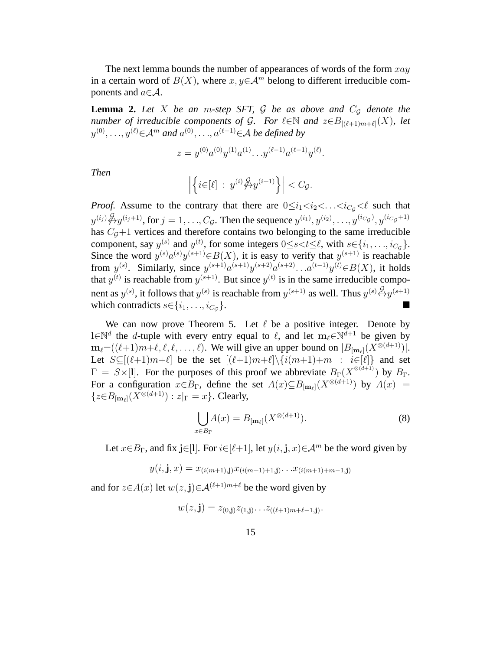The next lemma bounds the number of appearances of words of the form  $xay$ in a certain word of  $B(X)$ , where  $x, y \in A^m$  belong to different irreducible components and  $a \in \mathcal{A}$ .

**Lemma 2.** Let X be an m-step SFT,  $\mathcal G$  be as above and  $C_{\mathcal G}$  denote the *number of irreducible components of G. For*  $\ell \in \mathbb{N}$  *and*  $z \in B_{[(\ell+1)m+\ell]}(X)$ *, let*  $y^{(0)}, \ldots, y^{(\ell)}$ ∈ $\mathcal{A}^m$  and  $a^{(0)}, \ldots, a^{(\ell-1)}$ ∈ $\mathcal{A}$  *be defined by* 

$$
z = y^{(0)} a^{(0)} y^{(1)} a^{(1)} \dots y^{(\ell-1)} a^{(\ell-1)} y^{(\ell)}.
$$

*Then*

$$
\left|\left\{i\in[\ell]\;:\;y^{(i)}\bigstar\mathcal{Y}^{(i+1)}\right\}\right|
$$

*Proof.* Assume to the contrary that there are  $0 \leq i_1 < i_2 < \ldots < i_{C_q} < \ell$  such that  $y^{(i_j)} \cancel{\phi} y^{(i_j+1)}$ , for  $j = 1, ..., C_{\mathcal{G}}$ . Then the sequence  $y^{(i_1)}, y^{(i_2)}, ..., y^{(i_{C_{\mathcal{G}}})}, y^{(i_{C_{\mathcal{G}}}+1)}$ has  $C_g+1$  vertices and therefore contains two belonging to the same irreducible component, say  $y^{(s)}$  and  $y^{(t)}$ , for some integers  $0 \le s \lt t \le \ell$ , with  $s \in \{i_1, \ldots, i_{C_g}\}.$ Since the word  $y^{(s)}a^{(s)}y^{(s+1)} \in B(X)$ , it is easy to verify that  $y^{(s+1)}$  is reachable from  $y^{(s)}$ . Similarly, since  $y^{(s+1)} a^{(s+1)} y^{(s+2)} a^{(s+2)} \dots a^{(t-1)} y^{(t)} \in B(X)$ , it holds that  $y^{(t)}$  is reachable from  $y^{(s+1)}$ . But since  $y^{(t)}$  is in the same irreducible component as  $y^{(s)}$ , it follows that  $y^{(s)}$  is reachable from  $y^{(s+1)}$  as well. Thus  $y^{(s)} \overset{\mathcal{G}}{\leftrightarrow} y^{(s+1)}$ which contradicts  $s \in \{i_1, \ldots, i_{C_G}\}.$ }.

We can now prove Theorem 5. Let  $\ell$  be a positive integer. Denote by l∈N<sup>d</sup> the d-tuple with every entry equal to  $\ell$ , and let m<sub> $\ell$ </sub>  $\in$ N<sup>d+1</sup> be given by  $m_\ell=((\ell+1)m+\ell, \ell, \ell, \ldots, \ell)$ . We will give an upper bound on  $|B_{[m_\ell]}(X^{\otimes (d+1)})|$ . Let  $S \subseteq [(\ell+1)m+\ell]$  be the set  $[(\ell+1)m+\ell]\setminus {i(m+1)+m}$  :  $i\in [\ell]$  and set  $\Gamma = S \times [1]$ . For the purposes of this proof we abbreviate  $B_{\Gamma}(\chi^{\otimes (d+1)})$  by  $B_{\Gamma}$ . For a configuration  $x \in B_\Gamma$ , define the set  $A(x) \subseteq B_{\lfloor m_\ell \rfloor}(X^{\otimes (d+1)})$  by  $A(x) =$  ${z \in B_{\lfloor m_\ell \rfloor}(X^{\otimes (d+1)}) : z|_{\Gamma} = x}.$  Clearly,

$$
\bigcup_{x \in B_{\Gamma}} A(x) = B_{\lfloor \mathbf{m}_{\ell} \rfloor}(X^{\otimes (d+1)}).
$$
 (8)

Let  $x \in B_{\Gamma}$ , and fix j∈[l]. For  $i \in [\ell+1]$ , let  $y(i, j, x) \in \mathcal{A}^m$  be the word given by

$$
y(i, \mathbf{j}, x) = x_{(i(m+1), \mathbf{j})} x_{(i(m+1)+1, \mathbf{j})} \dots x_{(i(m+1)+m-1, \mathbf{j})}
$$

and for  $z \in A(x)$  let  $w(z, \mathbf{j}) \in A^{(\ell+1)m+\ell}$  be the word given by

$$
w(z, \mathbf{j}) = z_{(0, \mathbf{j})} z_{(1, \mathbf{j})} \dots z_{((\ell+1)m+\ell-1, \mathbf{j})}.
$$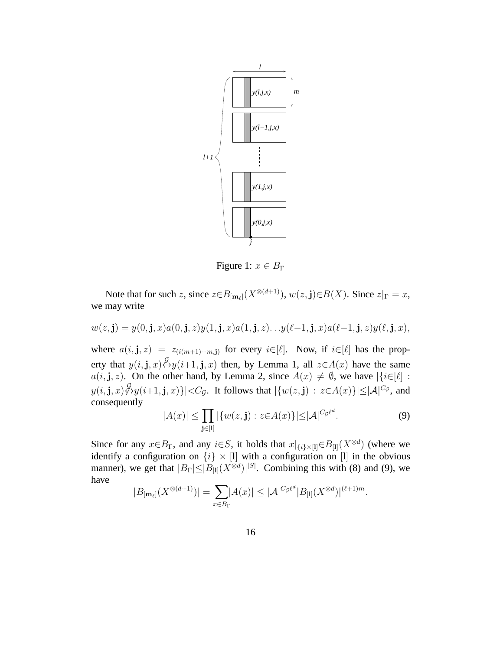

Figure 1:  $x \in B_{\Gamma}$ 

Note that for such z, since  $z \in B_{\lfloor m_\ell \rfloor}(X^{\otimes(d+1)})$ ,  $w(z,j) \in B(X)$ . Since  $z|_{\Gamma} = x$ , we may write

$$
w(z, \mathbf{j}) = y(0, \mathbf{j}, x)a(0, \mathbf{j}, z)y(1, \mathbf{j}, x)a(1, \mathbf{j}, z)\dots y(\ell-1, \mathbf{j}, x)a(\ell-1, \mathbf{j}, z)y(\ell, \mathbf{j}, x),
$$

where  $a(i, j, z) = z_{(i(m+1)+m, j)}$  for every  $i \in [\ell]$ . Now, if  $i \in [\ell]$  has the property that  $y(i, j, x) \stackrel{\mathcal{G}}{\leftrightarrow} y(i+1, j, x)$  then, by Lemma 1, all  $z \in A(x)$  have the same  $a(i, j, z)$ . On the other hand, by Lemma 2, since  $A(x) \neq \emptyset$ , we have  $|\{i \in [\ell] :$  $y(i, \mathbf{j}, x) \not\leftrightarrow y(i+1, \mathbf{j}, x) \}|\ll C_{\mathcal{G}}.$  It follows that  $|\{w(z, \mathbf{j}) \, : \, z \in A(x)\}| \leq |\mathcal{A}|^{C_{\mathcal{G}}}$ , and consequently

$$
|A(x)| \le \prod_{\mathbf{j} \in [1]} |\{w(z, \mathbf{j}) : z \in A(x)\}| \le |\mathcal{A}|^{C_{\mathcal{G}} \ell^{d}}.
$$
 (9)

Since for any  $x \in B_{\Gamma}$ , and any  $i \in S$ , it holds that  $x|_{\{i\} \times [1]} \in B_{[1]}(X^{\otimes d})$  (where we identify a configuration on  $\{i\} \times [1]$  with a configuration on [1] in the obvious manner), we get that  $|B_{\Gamma}| \leq |B_{[1]}(X^{\otimes d})|^{|S|}$ . Combining this with (8) and (9), we have

$$
|B_{[\mathbf{m}_{\ell}]}(X^{\otimes (d+1)})| = \sum_{x \in B_{\Gamma}} |A(x)| \leq |\mathcal{A}|^{C_{\mathcal{G}}\ell^{d}} |B_{[\mathbf{l}]}(X^{\otimes d})|^{(\ell+1)m}.
$$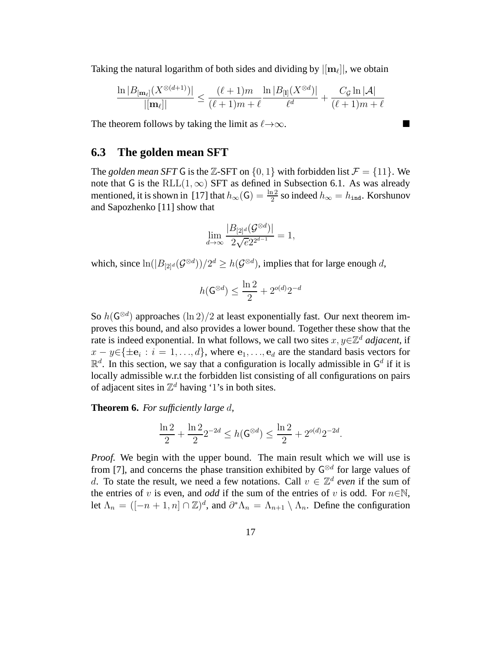Taking the natural logarithm of both sides and dividing by  $|[{\bf m}_\ell]|$ , we obtain

$$
\frac{\ln |B_{[m_{\ell}]}(X^{\otimes (d+1)})|}{|[m_{\ell}]|} \le \frac{(\ell+1)m}{(\ell+1)m+\ell} \frac{\ln |B_{[1]}(X^{\otimes d})|}{\ell^d} + \frac{C_{\mathcal{G}}\ln |\mathcal{A}|}{(\ell+1)m+\ell}
$$

The theorem follows by taking the limit as  $\ell \rightarrow \infty$ .

#### **6.3 The golden mean SFT**

The *golden mean SFT* G is the Z-SFT on  $\{0, 1\}$  with forbidden list  $\mathcal{F} = \{11\}$ . We note that G is the RLL $(1, \infty)$  SFT as defined in Subsection 6.1. As was already mentioned, it is shown in [17] that  $h_{\infty}(\mathsf{G}) = \frac{\ln 2}{2}$  so indeed  $h_{\infty} = h_{\text{ind}}$ . Korshunov and Sapozhenko [11] show that

$$
\lim_{d\to\infty}\frac{|B_{[2]^d}(\mathcal{G}^{\otimes d})|}{2\sqrt{e}2^{2^{d-1}}}=1,
$$

which, since  $\ln(|B_{[2]^d}(\mathcal{G}^{\otimes d}))/2^d \geq h(\mathcal{G}^{\otimes d})$ , implies that for large enough d,

$$
h(\mathbf{G}^{\otimes d}) \le \frac{\ln 2}{2} + 2^{o(d)} 2^{-d}
$$

So  $h(\mathsf{G}^{\otimes d})$  approaches  $(\ln 2)/2$  at least exponentially fast. Our next theorem improves this bound, and also provides a lower bound. Together these show that the rate is indeed exponential. In what follows, we call two sites  $x, y \in \mathbb{Z}^d$  *adjacent*, if  $x - y \in {\{\pm \mathbf{e}_i : i = 1, ..., d\}}$ , where  $\mathbf{e}_1, \ldots, \mathbf{e}_d$  are the standard basis vectors for  $\mathbb{R}^d$ . In this section, we say that a configuration is locally admissible in  $\mathsf{G}^d$  if it is locally admissible w.r.t the forbidden list consisting of all configurations on pairs of adjacent sites in  $\mathbb{Z}^d$  having '1's in both sites.

**Theorem 6.** *For sufficiently large* d*,*

$$
\frac{\ln 2}{2} + \frac{\ln 2}{2} 2^{-2d} \le h(\mathsf{G}^{\otimes d}) \le \frac{\ln 2}{2} + 2^{o(d)} 2^{-2d}.
$$

*Proof.* We begin with the upper bound. The main result which we will use is from [7], and concerns the phase transition exhibited by  $G^{\otimes d}$  for large values of d. To state the result, we need a few notations. Call  $v \in \mathbb{Z}^d$  *even* if the sum of the entries of v is even, and *odd* if the sum of the entries of v is odd. For  $n \in \mathbb{N}$ , let  $\Lambda_n = ([-n+1, n] \cap \mathbb{Z})^d$ , and  $\partial^* \Lambda_n = \Lambda_{n+1} \setminus \Lambda_n$ . Define the configuration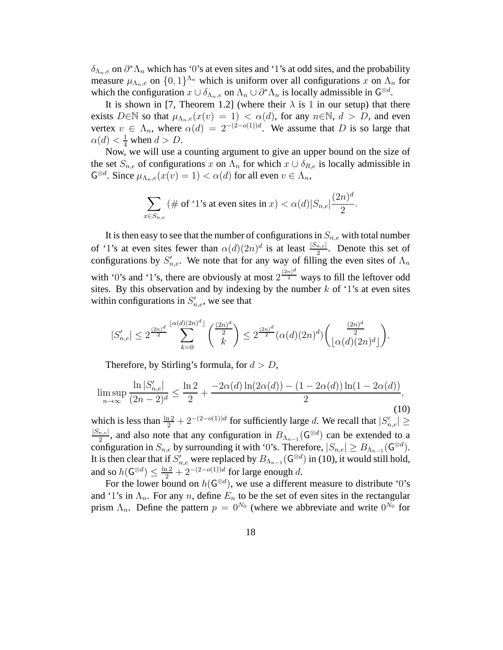$\delta_{\Lambda_n,e}$  on  $\partial^*\Lambda_n$  which has '0's at even sites and '1's at odd sites, and the probability measure  $\mu_{\Lambda_n,e}$  on  $\{0,1\}^{\Lambda_n}$  which is uniform over all configurations x on  $\Lambda_n$  for which the configuration  $x \cup \delta_{\Lambda_n,e}$  on  $\Lambda_n \cup \partial^* \Lambda_n$  is locally admissible in  $\mathsf{G}^{\otimes d}$ .

It is shown in [7, Theorem 1.2] (where their  $\lambda$  is 1 in our setup) that there exists  $D \in \mathbb{N}$  so that  $\mu_{\Lambda_n,e}(x(v) = 1) < \alpha(d)$ , for any  $n \in \mathbb{N}$ ,  $d > D$ , and even vertex  $v \in \Lambda_n$ , where  $\alpha(d) = 2^{-(2-o(1))d}$ . We assume that D is so large that  $\alpha(d) < \frac{1}{4}$  when  $d > D$ .

Now, we will use a counting argument to give an upper bound on the size of the set  $S_{n,e}$  of configurations x on  $\Lambda_n$  for which  $x \cup \delta_{R,e}$  is locally admissible in  $\mathsf{G}^{\otimes d}$ . Since  $\mu_{\Lambda_n,e}(x(v) = 1) < \alpha(d)$  for all even  $v \in \Lambda_n$ ,

$$
\sum_{x \in S_{n,e}} (\# \text{ of '1's at even sites in } x) < \alpha(d) |S_{n,e}| \frac{(2n)^d}{2}.
$$

It is then easy to see that the number of configurations in  $S_{n,e}$  with total number of '1's at even sites fewer than  $\alpha(d)(2n)^d$  is at least  $\frac{|S_{n,e}|}{2}$ . Denote this set of configurations by  $S'_{n,e}$ . We note that for any way of filling the even sites of  $\Lambda_n$ with '0's and '1's, there are obviously at most  $2^{\frac{(2n)^d}{2}}$  ways to fill the leftover odd sites. By this observation and by indexing by the number  $k$  of '1's at even sites within configurations in  $S'_{n,e}$ , we see that

$$
|S'_{n,e}| \le 2^{\frac{(2n)^d}{2}} \sum_{k=0}^{\lfloor \alpha(d)(2n)^d \rfloor} {\binom{(2n)^d}{2}} \le 2^{\frac{(2n)^d}{2}} (\alpha(d)(2n)^d) {\binom{(2n)^d}{2}}
$$

.

Therefore, by Stirling's formula, for  $d > D$ ,

$$
\limsup_{n \to \infty} \frac{\ln |S'_{n,e}|}{(2n-2)^d} \le \frac{\ln 2}{2} + \frac{-2\alpha(d)\ln(2\alpha(d)) - (1 - 2\alpha(d))\ln(1 - 2\alpha(d))}{2},\tag{10}
$$

which is less than  $\frac{\ln 2}{2} + 2^{-(2-o(1))d}$  for sufficiently large d. We recall that  $|S'_{n,e}| \ge$  $|S_{n,e}|$  $\frac{n,e|}{2}$ , and also note that any configuration in  $B_{\Lambda_{n-1}}(\mathsf{G}^{\otimes d})$  can be extended to a configuration in  $S_{n,e}$  by surrounding it with '0's. Therefore,  $|S_{n,e}| \geq B_{\Lambda_{n-1}}(\mathsf{G}^{\otimes d})$ . It is then clear that if  $S'_{n,e}$  were replaced by  $B_{\Lambda_{n-1}}(\mathsf{G}^{\otimes d})$  in (10), it would still hold, and so  $h(\mathsf{G}^{\otimes d}) \leq \frac{\ln 2}{2} + 2^{-(2-o(1))d}$  for large enough d.

For the lower bound on  $h(\mathsf{G}^{\otimes d})$ , we use a different measure to distribute '0's and '1's in  $\Lambda_n$ . For any n, define  $E_n$  to be the set of even sites in the rectangular prism  $\Lambda_n$ . Define the pattern  $p = 0^{N_0}$  (where we abbreviate and write  $0^{N_0}$  for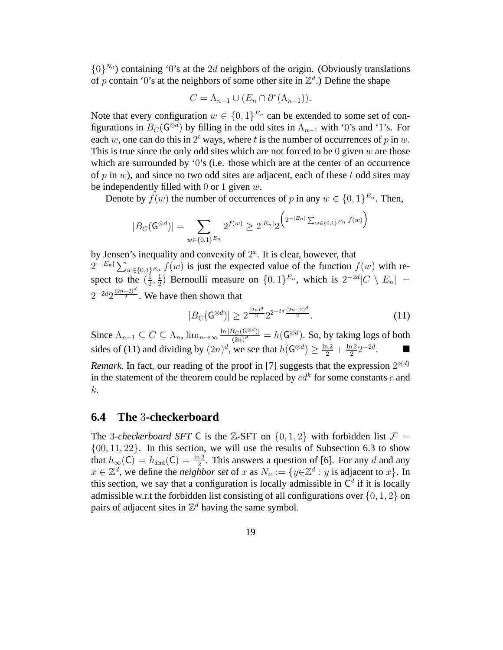$\{0\}^{N_0}$ ) containing '0's at the 2d neighbors of the origin. (Obviously translations of p contain '0's at the neighbors of some other site in  $\mathbb{Z}^d$ .) Define the shape

$$
C = \Lambda_{n-1} \cup (E_n \cap \partial^*(\Lambda_{n-1})).
$$

Note that every configuration  $w \in \{0,1\}^{E_n}$  can be extended to some set of configurations in  $B_C(\mathsf{G}^{\otimes d})$  by filling in the odd sites in  $\Lambda_{n-1}$  with '0's and '1's. For each w, one can do this in  $2^t$  ways, where t is the number of occurrences of p in w. This is true since the only odd sites which are not forced to be  $0$  given  $w$  are those which are surrounded by '0's (i.e. those which are at the center of an occurrence of p in  $w$ ), and since no two odd sites are adjacent, each of these t odd sites may be independently filled with 0 or 1 given  $w$ .

Denote by  $f(w)$  the number of occurrences of p in any  $w \in \{0, 1\}^{E_n}$ . Then,

$$
|B_C(\mathsf{G}^{\otimes d})| = \sum_{w \in \{0,1\}^{E_n}} 2^{f(w)} \ge 2^{|E_n|} 2^{\left(2^{-|E_n|} \sum_{w \in \{0,1\}^{E_n}} f(w)\right)}
$$

by Jensen's inequality and convexity of  $2<sup>x</sup>$ . It is clear, however, that  $2^{-|E_n|}\sum_{w\in\{0,1\}^{E_n}}f(w)$  is just the expected value of the function  $f(w)$  with respect to the  $(\frac{1}{2})$  $\frac{1}{2}, \frac{1}{2}$  $\frac{1}{2}$ ) Bernoulli measure on  $\{0,1\}^{E_n}$ , which is  $2^{-2d}|C \setminus E_n|$  =  $2^{-2d}2^{\frac{(2n-2)^d}{2}}$ . We have then shown that

$$
|B_C(\mathbf{G}^{\otimes d})| \ge 2^{\frac{(2n)^d}{2}} 2^{2^{-2d}\frac{(2n-2)^d}{2}}.
$$
 (11)

Since  $\Lambda_{n-1} \subseteq C \subseteq \Lambda_n$ ,  $\lim_{n \to \infty} \frac{\ln |B_C(\mathbf{G}^{\otimes d})|}{(2n)^d}$  $\frac{\beta_C(\mathsf{G}^{\otimes d})}{(2n)^d} = h(\mathsf{G}^{\otimes d})$ . So, by taking logs of both sides of (11) and dividing by  $(2n)^d$ , we see that  $h(\mathsf{G}^{\otimes d}) \ge \frac{\ln 2}{2} + \frac{\ln 2}{2}$  $\frac{12}{2}2^{-2d}$ .

*Remark*. In fact, our reading of the proof in [7] suggests that the expression  $2^{o(d)}$ in the statement of the theorem could be replaced by  $cd^k$  for some constants  $c$  and k.

#### **6.4 The** 3**-checkerboard**

The 3-*checkerboard SFT* C is the Z-SFT on  $\{0, 1, 2\}$  with forbidden list  $\mathcal{F} =$  $\{00, 11, 22\}$ . In this section, we will use the results of Subsection 6.3 to show that  $h_{\infty}(C) = h_{\text{ind}}(C) = \frac{\ln 2}{2}$ . This answers a question of [6]. For any d and any  $x \in \mathbb{Z}^d$ , we define the *neighbor set* of x as  $N_x := \{y \in \mathbb{Z}^d : y \text{ is adjacent to } x\}$ . In this section, we say that a configuration is locally admissible in  $C<sup>d</sup>$  if it is locally admissible w.r.t the forbidden list consisting of all configurations over  $\{0, 1, 2\}$  on pairs of adjacent sites in  $\mathbb{Z}^d$  having the same symbol.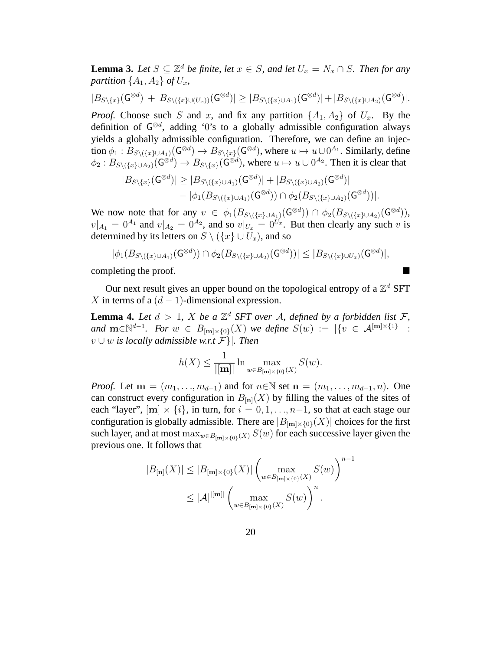**Lemma 3.** *Let*  $S \subseteq \mathbb{Z}^d$  *be finite, let*  $x \in S$ *, and let*  $U_x = N_x \cap S$ *. Then for any partition*  $\{A_1, A_2\}$  *of*  $U_x$ *,* 

$$
|B_{S\setminus\{x\}}(\mathsf{G}^{\otimes d})|+|B_{S\setminus(\{x\}\cup(U_x))}(\mathsf{G}^{\otimes d})|\geq |B_{S\setminus(\{x\}\cup A_1)}(\mathsf{G}^{\otimes d})|+|B_{S\setminus(\{x\}\cup A_2)}(\mathsf{G}^{\otimes d})|.
$$

*Proof.* Choose such S and x, and fix any partition  $\{A_1, A_2\}$  of  $U_x$ . By the definition of  $G^{\otimes d}$ , adding '0's to a globally admissible configuration always yields a globally admissible configuration. Therefore, we can define an injection  $\phi_1 : B_{S \setminus (\{x\} \cup A_1)}(\mathsf{G}^{\otimes d}) \to B_{S \setminus \{x\}}(\mathsf{G}^{\otimes d})$ , where  $u \mapsto u \cup 0^{A_1}$ . Similarly, define  $\phi_2 : B_{S \setminus (\{x\} \cup A_2)}(\mathsf{G}^{\otimes d}) \to B_{S \setminus \{x\}}(\mathsf{G}^{\otimes d})$ , where  $u \mapsto u \cup 0^{A_2}$ . Then it is clear that

$$
|B_{S\setminus\{x\}}(\mathsf{G}^{\otimes d})| \geq |B_{S\setminus(\{x\}\cup A_1)}(\mathsf{G}^{\otimes d})| + |B_{S\setminus(\{x\}\cup A_2)}(\mathsf{G}^{\otimes d})| - |\phi_1(B_{S\setminus(\{x\}\cup A_1)}(\mathsf{G}^{\otimes d})) \cap \phi_2(B_{S\setminus(\{x\}\cup A_2)}(\mathsf{G}^{\otimes d}))|.
$$

We now note that for any  $v \in \phi_1(B_{S \setminus (\{x\} \cup A_1)}(\mathsf{G}^{\otimes d})) \cap \phi_2(B_{S \setminus (\{x\} \cup A_2)}(\mathsf{G}^{\otimes d}))$ ,  $v|_{A_1} = 0^{A_1}$  and  $v|_{A_2} = 0^{A_2}$ , and so  $v|_{U_x} = 0^{U_x}$ . But then clearly any such v is determined by its letters on  $S \setminus (\{x\} \cup U_x)$ , and so

$$
|\phi_1(B_{S \setminus (\{x\} \cup A_1)}(\mathsf{G}^{\otimes d})) \cap \phi_2(B_{S \setminus (\{x\} \cup A_2)}(\mathsf{G}^{\otimes d}))| \leq |B_{S \setminus (\{x\} \cup U_x)}(\mathsf{G}^{\otimes d})|,
$$

completing the proof.

Our next result gives an upper bound on the topological entropy of a  $\mathbb{Z}^d$  SFT X in terms of a  $(d-1)$ -dimensional expression.

**Lemma 4.** Let  $d > 1$ , X be a  $\mathbb{Z}^d$  SFT over A, defined by a forbidden list F, *and*  $\mathbf{m} \in \mathbb{N}^{d-1}$ *. For*  $w \in B_{\lfloor m \rfloor \times \{0\}}(X)$  *we define*  $S(w) := |\{v \in \mathcal{A}^{\lfloor m \rfloor \times \{1\}}\}|$ : v ∪ w *is locally admissible w.r.t* F }|*. Then*

$$
h(X) \le \frac{1}{|[\mathbf{m}]|} \ln \max_{w \in B_{[\mathbf{m}] \times \{0\}}(X)} S(w).
$$

*Proof.* Let  $\mathbf{m} = (m_1, \ldots, m_{d-1})$  and for  $n \in \mathbb{N}$  set  $\mathbf{n} = (m_1, \ldots, m_{d-1}, n)$ . One can construct every configuration in  $B_{[n]}(X)$  by filling the values of the sites of each "layer",  $[m] \times \{i\}$ , in turn, for  $i = 0, 1, \ldots, n-1$ , so that at each stage our configuration is globally admissible. There are  $|B_{\text{[m]}\times\{0\}}(X)|$  choices for the first such layer, and at most  $\max_{w \in B_{[m] \times \{0\}}(X)} S(w)$  for each successive layer given the previous one. It follows that

$$
|B_{\mathbf{[n]}}(X)| \le |B_{\mathbf{[m]} \times \{0\}}(X)| \left(\max_{w \in B_{\mathbf{[m]} \times \{0\}}(X)} S(w)\right)^{n-1}
$$
  

$$
\le |\mathcal{A}|^{|\mathbf{[m]}|} \left(\max_{w \in B_{\mathbf{[m]} \times \{0\}}(X)} S(w)\right)^n.
$$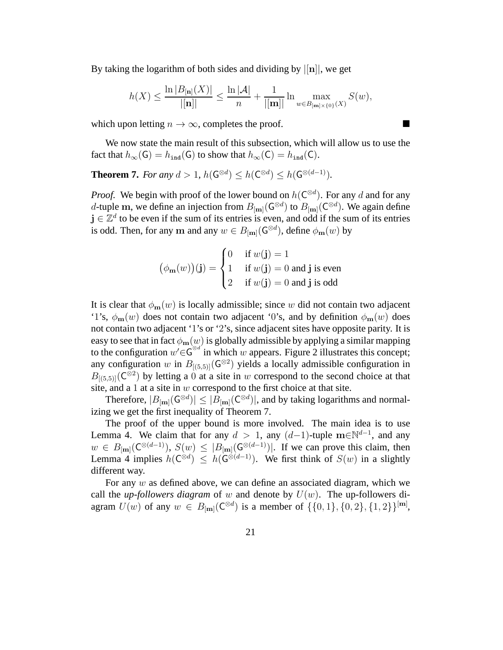By taking the logarithm of both sides and dividing by  $\vert \mathbf{u} \vert$ , we get

$$
h(X) \le \frac{\ln |B_{[n]}(X)|}{|[n]|} \le \frac{\ln |\mathcal{A}|}{n} + \frac{1}{|[m]|} \ln \max_{w \in B_{[m] \times \{0\}}(X)} S(w),
$$

which upon letting  $n \to \infty$ , completes the proof.

We now state the main result of this subsection, which will allow us to use the fact that  $h_{\infty}(G) = h_{\text{ind}}(G)$  to show that  $h_{\infty}(C) = h_{\text{ind}}(C)$ .

**Theorem 7.** *For any*  $d > 1$ ,  $h(\mathsf{G}^{\otimes d}) \leq h(\mathsf{C}^{\otimes d}) \leq h(\mathsf{G}^{\otimes (d-1)})$ .

*Proof.* We begin with proof of the lower bound on  $h(C^{\otimes d})$ . For any d and for any d-tuple m, we define an injection from  $B_{\text{[m]}}(G^{\otimes d})$  to  $B_{\text{[m]}}(C^{\otimes d})$ . We again define  $j \in \mathbb{Z}^d$  to be even if the sum of its entries is even, and odd if the sum of its entries is odd. Then, for any m and any  $w \in B_{\text{[m]}}(\mathsf{G}^{\otimes d})$ , define  $\phi_{\mathbf{m}}(w)$  by

$$
(\phi_{\mathbf{m}}(w))(\mathbf{j}) = \begin{cases} 0 & \text{if } w(\mathbf{j}) = 1 \\ 1 & \text{if } w(\mathbf{j}) = 0 \text{ and } \mathbf{j} \text{ is even} \\ 2 & \text{if } w(\mathbf{j}) = 0 \text{ and } \mathbf{j} \text{ is odd} \end{cases}
$$

It is clear that  $\phi_{\mathbf{m}}(w)$  is locally admissible; since w did not contain two adjacent '1's,  $\phi_{\mathbf{m}}(w)$  does not contain two adjacent '0's, and by definition  $\phi_{\mathbf{m}}(w)$  does not contain two adjacent '1's or '2's, since adjacent sites have opposite parity. It is easy to see that in fact  $\phi_{\mathbf{m}}(w)$  is globally admissible by applying a similar mapping to the configuration  $w' \in G^{\otimes d'}$  in which w appears. Figure 2 illustrates this concept; any configuration w in  $B_{[(5,5)]}(G^{\otimes 2})$  yields a locally admissible configuration in  $B_{[(5,5)]}(\overline{\mathbb{C}}^{\otimes 2})$  by letting a 0 at a site in w correspond to the second choice at that site, and a 1 at a site in  $w$  correspond to the first choice at that site.

Therefore,  $|B_{[**m**]}(G^{\otimes d})| \leq |B_{[**m**]}(C^{\otimes d})|$ , and by taking logarithms and normalizing we get the first inequality of Theorem 7.

The proof of the upper bound is more involved. The main idea is to use Lemma 4. We claim that for any  $d > 1$ , any  $(d-1)$ -tuple m∈N<sup>d-1</sup>, and any  $w \in B_{\text{[m]}}(\mathbb{C}^{\otimes(d-1)}), S(w) \leq |B_{\text{[m]}}(\mathbb{G}^{\otimes(d-1)})|$ . If we can prove this claim, then Lemma 4 implies  $h(C^{\otimes d}) \leq h(G^{\otimes (d-1)})$ . We first think of  $S(w)$  in a slightly different way.

For any  $w$  as defined above, we can define an associated diagram, which we call the *up-followers diagram* of w and denote by  $U(w)$ . The up-followers diagram  $U(w)$  of any  $w \in B_{[m]}(C^{\otimes d})$  is a member of  $\{\{0, 1\}, \{0, 2\}, \{1, 2\}\}^{[m]}$ ,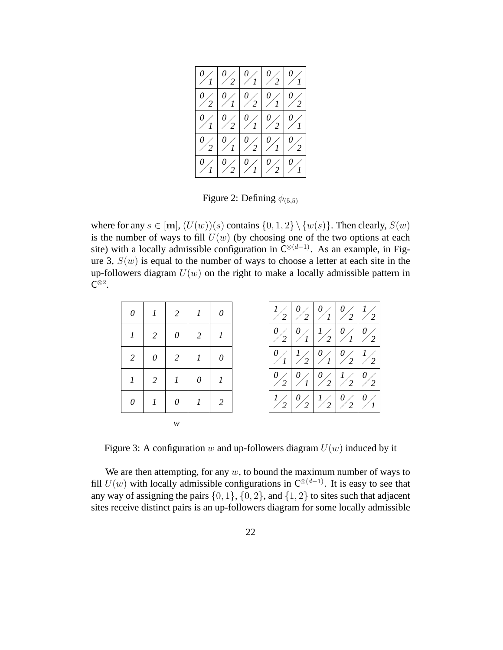|                      |               | $\left \frac{0}{1}\right \frac{0}{2}\left \frac{0}{1}\right \frac{0}{2}\left \frac{0}{1}\right $                                                     |                                                      |  |
|----------------------|---------------|------------------------------------------------------------------------------------------------------------------------------------------------------|------------------------------------------------------|--|
| $\frac{0}{2}$        |               | $\frac{1}{2} \left  \frac{1}{2} \right  \frac{1}{2} \left  \frac{1}{2} \right  \frac{1}{2}$                                                          |                                                      |  |
|                      |               | $\frac{1}{2} \left  \frac{1}{2} \right  \left  \frac{1}{2} \right  \left  \frac{1}{2} \right  \left  \frac{1}{2} \right  \left  \frac{1}{2} \right $ |                                                      |  |
|                      |               | $\frac{1}{2} \left  \frac{0}{1} \right  \frac{0}{2} \left  \frac{0}{1} \right  \frac{0}{2}$                                                          |                                                      |  |
| $\frac{0}{\sqrt{1}}$ | $\frac{0}{2}$ |                                                                                                                                                      | $\frac{1}{2} \left  \frac{1}{2} \right  \frac{1}{2}$ |  |

Figure 2: Defining  $\phi_{(5,5)}$ 

where for any  $s \in [m]$ ,  $(U(w))(s)$  contains  $\{0, 1, 2\} \setminus \{w(s)\}$ . Then clearly,  $S(w)$ is the number of ways to fill  $U(w)$  (by choosing one of the two options at each site) with a locally admissible configuration in  $C^{\otimes (d-1)}$ . As an example, in Figure 3,  $S(w)$  is equal to the number of ways to choose a letter at each site in the up-followers diagram  $U(w)$  on the right to make a locally admissible pattern in  $\overline{C}^{\otimes 2}$ .

| $\theta$       |                  | $\frac{1}{2}$                          | 1                | $\theta$       |
|----------------|------------------|----------------------------------------|------------------|----------------|
|                | $\overline{2}$   | $\theta$                               | 2                | $\overline{l}$ |
| $\overline{2}$ | $\theta$         | 2                                      | $\mathcal{I}$    | $\theta$       |
|                | $\overline{2}$   | $\begin{array}{cc} \hline \end{array}$ | $\theta$         |                |
| 0              | $\boldsymbol{l}$ | $\theta$                               | $\boldsymbol{l}$ | $\overline{2}$ |
|                |                  | w                                      |                  |                |

Figure 3: A configuration w and up-followers diagram  $U(w)$  induced by it

We are then attempting, for any  $w$ , to bound the maximum number of ways to fill  $U(w)$  with locally admissible configurations in  $C^{\otimes (d-1)}$ . It is easy to see that any way of assigning the pairs  $\{0, 1\}$ ,  $\{0, 2\}$ , and  $\{1, 2\}$  to sites such that adjacent sites receive distinct pairs is an up-followers diagram for some locally admissible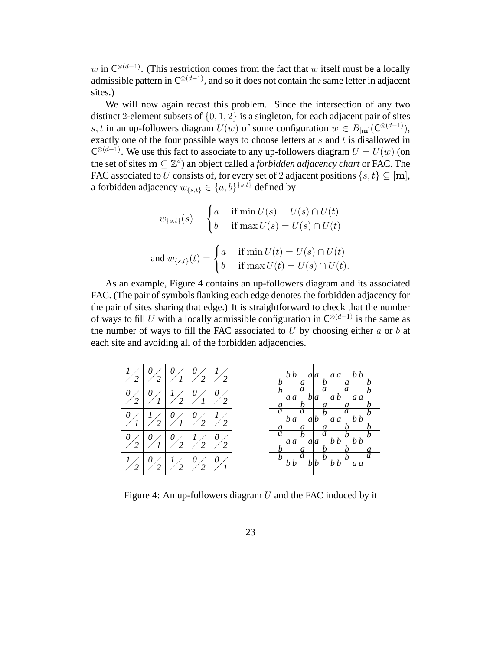w in  $C^{\otimes (d-1)}$ . (This restriction comes from the fact that w itself must be a locally admissible pattern in  $C^{\otimes (d-1)}$ , and so it does not contain the same letter in adjacent sites.)

We will now again recast this problem. Since the intersection of any two distinct 2-element subsets of  $\{0, 1, 2\}$  is a singleton, for each adjacent pair of sites s, t in an up-followers diagram  $U(w)$  of some configuration  $w \in B_{\text{[m]}}(\mathbb{C}^{\otimes (d-1)}),$ exactly one of the four possible ways to choose letters at  $s$  and  $t$  is disallowed in  $C^{\otimes (d-1)}$ . We use this fact to associate to any up-followers diagram  $U = U(w)$  (on the set of sites  $\mathbf{m} \subseteq \mathbb{Z}^d$ ) an object called a *forbidden adjacency chart* or FAC. The FAC associated to U consists of, for every set of 2 adjacent positions  $\{s, t\} \subseteq [m]$ , a forbidden adjacency  $w_{\{s,t\}} \in \{a,b\}^{\{s,t\}}$  defined by

$$
w_{\{s,t\}}(s) = \begin{cases} a & \text{if } \min U(s) = U(s) \cap U(t) \\ b & \text{if } \max U(s) = U(s) \cap U(t) \end{cases}
$$
  
and 
$$
w_{\{s,t\}}(t) = \begin{cases} a & \text{if } \min U(t) = U(s) \cap U(t) \\ b & \text{if } \max U(t) = U(s) \cap U(t). \end{cases}
$$

As an example, Figure 4 contains an up-followers diagram and its associated FAC. (The pair of symbols flanking each edge denotes the forbidden adjacency for the pair of sites sharing that edge.) It is straightforward to check that the number of ways to fill U with a locally admissible configuration in  $C^{\otimes(d-1)}$  is the same as the number of ways to fill the FAC associated to  $U$  by choosing either  $a$  or  $b$  at each site and avoiding all of the forbidden adjacencies.



Figure 4: An up-followers diagram  $U$  and the FAC induced by it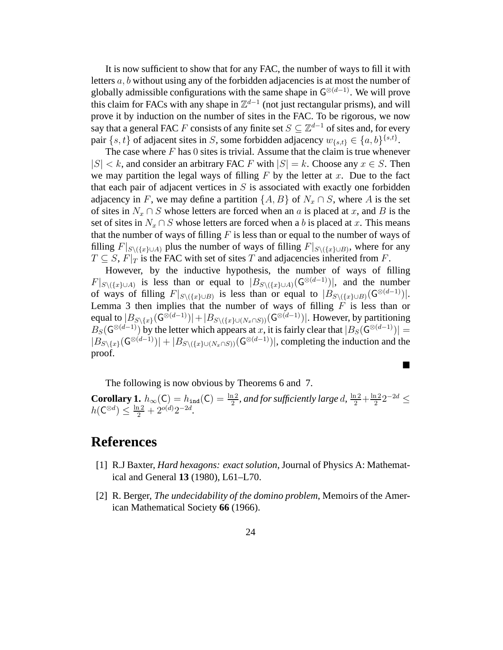It is now sufficient to show that for any FAC, the number of ways to fill it with letters a, b without using any of the forbidden adjacencies is at most the number of globally admissible configurations with the same shape in  $\mathsf{G}^{\otimes (d-1)}$ . We will prove this claim for FACs with any shape in  $\mathbb{Z}^{d-1}$  (not just rectangular prisms), and will prove it by induction on the number of sites in the FAC. To be rigorous, we now say that a general FAC F consists of any finite set  $S \subseteq \mathbb{Z}^{d-1}$  of sites and, for every pair  $\{s, t\}$  of adjacent sites in S, some forbidden adjacency  $w_{\{s,t\}} \in \{a, b\}^{\{s,t\}}$ .

The case where  $F$  has 0 sites is trivial. Assume that the claim is true whenever  $|S| < k$ , and consider an arbitrary FAC F with  $|S| = k$ . Choose any  $x \in S$ . Then we may partition the legal ways of filling  $F$  by the letter at  $x$ . Due to the fact that each pair of adjacent vertices in  $S$  is associated with exactly one forbidden adjacency in F, we may define a partition  $\{A, B\}$  of  $N_x \cap S$ , where A is the set of sites in  $N_x \cap S$  whose letters are forced when an a is placed at x, and B is the set of sites in  $N_x \cap S$  whose letters are forced when a b is placed at x. This means that the number of ways of filling  $F$  is less than or equal to the number of ways of filling  $F|_{S\setminus(\{x\}\cup A)}$  plus the number of ways of filling  $F|_{S\setminus(\{x\}\cup B)}$ , where for any  $T \subseteq S$ ,  $F|_T$  is the FAC with set of sites T and adjacencies inherited from F.

However, by the inductive hypothesis, the number of ways of filling  $F|_{S\setminus(\{x\}\cup A)}$  is less than or equal to  $|B_{S\setminus(\{x\}\cup A)}(G^{\otimes(d-1)})|$ , and the number of ways of filling  $F|_{S \setminus (\{x\} \cup B)}$  is less than or equal to  $|B_{S \setminus (\{x\} \cup B)}(\mathsf{G}^{\otimes (d-1)})|$ . Lemma 3 then implies that the number of ways of filling  $\overline{F}$  is less than or equal to  $|B_{S\setminus\{x\}}(\mathsf{G}^{\otimes(d-1)})|+|B_{S\setminus(\{x\}\cup(N_x\cap S))}(\mathsf{G}^{\otimes(d-1)})|$ . However, by partitioning  $B_S(\mathsf{G}^{\otimes (d-1)})$  by the letter which appears at x, it is fairly clear that  $|B_S(\mathsf{G}^{\otimes (d-1)})| =$  $|B_{S\setminus\{x\}}(\mathsf{G}^{\otimes(d-1)})|+|B_{S\setminus(\{x\}\cup(N_x\cap S))}(\mathsf{G}^{\otimes(d-1)})|$ , completing the induction and the proof.

The following is now obvious by Theorems 6 and 7.

**Corollary 1.**  $h_{\infty}(C) = h_{\text{ind}}(C) = \frac{\ln 2}{2}$ , and for sufficiently large d,  $\frac{\ln 2}{2} + \frac{\ln 2}{2}$  $\frac{12}{2} 2^{-2d} \le$  $h(\mathsf{C}^{\otimes d}) \leq \frac{\ln 2}{2} + 2^{o(d)} 2^{-2d}.$ 

 $\blacksquare$ 

#### **References**

- [1] R.J Baxter, *Hard hexagons: exact solution*, Journal of Physics A: Mathematical and General **13** (1980), L61–L70.
- [2] R. Berger, *The undecidability of the domino problem*, Memoirs of the American Mathematical Society **66** (1966).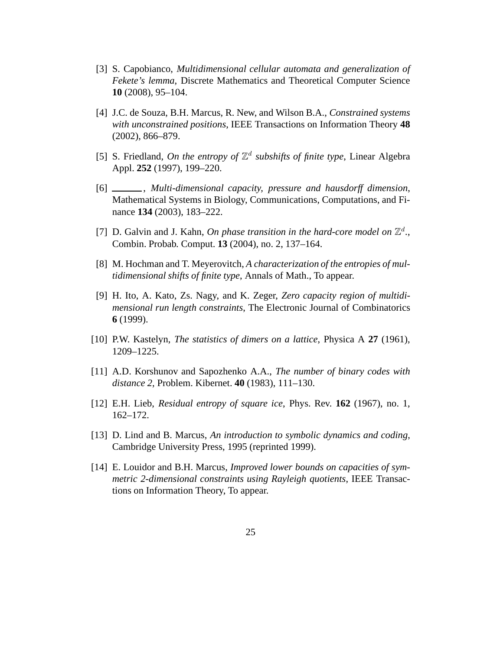- [3] S. Capobianco, *Multidimensional cellular automata and generalization of Fekete's lemma*, Discrete Mathematics and Theoretical Computer Science **10** (2008), 95–104.
- [4] J.C. de Souza, B.H. Marcus, R. New, and Wilson B.A., *Constrained systems with unconstrained positions*, IEEE Transactions on Information Theory **48** (2002), 866–879.
- [5] S. Friedland, *On the entropy of*  $\mathbb{Z}^d$  subshifts of finite type, Linear Algebra Appl. **252** (1997), 199–220.
- [6] , *Multi-dimensional capacity, pressure and hausdorff dimension*, Mathematical Systems in Biology, Communications, Computations, and Finance **134** (2003), 183–222.
- [7] D. Galvin and J. Kahn, *On phase transition in the hard-core model on*  $\mathbb{Z}^d$ ., Combin. Probab. Comput. **13** (2004), no. 2, 137–164.
- [8] M. Hochman and T. Meyerovitch, *A characterization of the entropies of multidimensional shifts of finite type*, Annals of Math., To appear.
- [9] H. Ito, A. Kato, Zs. Nagy, and K. Zeger, *Zero capacity region of multidimensional run length constraints*, The Electronic Journal of Combinatorics **6** (1999).
- [10] P.W. Kastelyn, *The statistics of dimers on a lattice*, Physica A **27** (1961), 1209–1225.
- [11] A.D. Korshunov and Sapozhenko A.A., *The number of binary codes with distance 2*, Problem. Kibernet. **40** (1983), 111–130.
- [12] E.H. Lieb, *Residual entropy of square ice*, Phys. Rev. **162** (1967), no. 1, 162–172.
- [13] D. Lind and B. Marcus, *An introduction to symbolic dynamics and coding*, Cambridge University Press, 1995 (reprinted 1999).
- [14] E. Louidor and B.H. Marcus, *Improved lower bounds on capacities of symmetric 2-dimensional constraints using Rayleigh quotients*, IEEE Transactions on Information Theory, To appear.